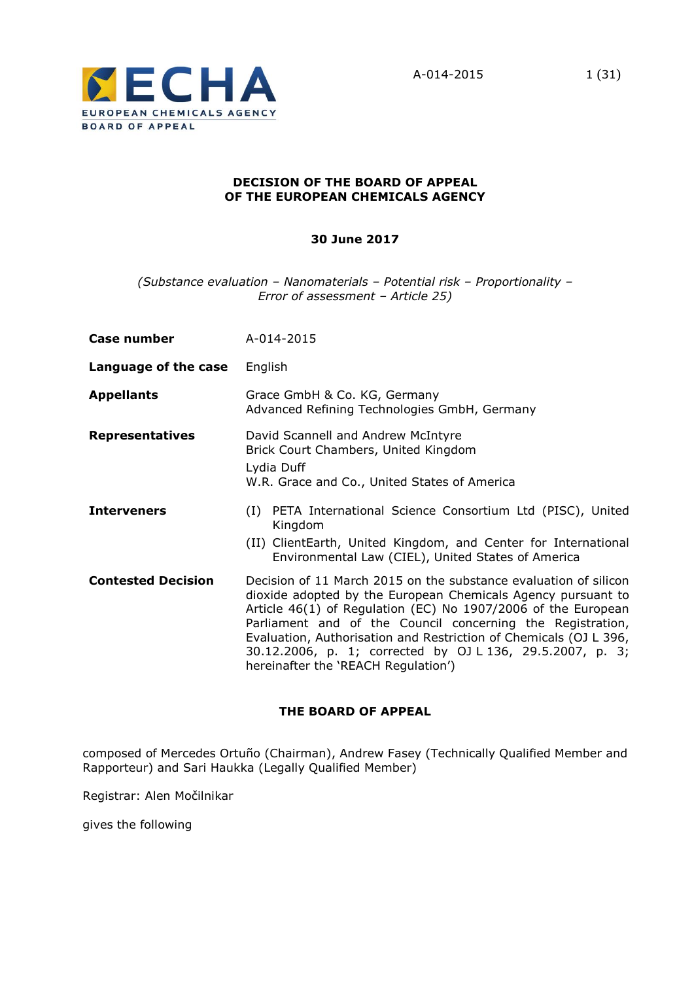

## **DECISION OF THE BOARD OF APPEAL OF THE EUROPEAN CHEMICALS AGENCY**

# **30 June 2017**

*(Substance evaluation – Nanomaterials – Potential risk – Proportionality – Error of assessment – Article 25)*

| Case number               | A-014-2015                                                                                                                                                                                                                                                                                                                                                                                                                               |
|---------------------------|------------------------------------------------------------------------------------------------------------------------------------------------------------------------------------------------------------------------------------------------------------------------------------------------------------------------------------------------------------------------------------------------------------------------------------------|
| Language of the case      | English                                                                                                                                                                                                                                                                                                                                                                                                                                  |
| <b>Appellants</b>         | Grace GmbH & Co. KG, Germany<br>Advanced Refining Technologies GmbH, Germany                                                                                                                                                                                                                                                                                                                                                             |
| <b>Representatives</b>    | David Scannell and Andrew McIntyre<br>Brick Court Chambers, United Kingdom<br>Lydia Duff<br>W.R. Grace and Co., United States of America                                                                                                                                                                                                                                                                                                 |
| <b>Interveners</b>        | (I) PETA International Science Consortium Ltd (PISC), United<br>Kingdom<br>(II) ClientEarth, United Kingdom, and Center for International<br>Environmental Law (CIEL), United States of America                                                                                                                                                                                                                                          |
| <b>Contested Decision</b> | Decision of 11 March 2015 on the substance evaluation of silicon<br>dioxide adopted by the European Chemicals Agency pursuant to<br>Article 46(1) of Regulation (EC) No 1907/2006 of the European<br>Parliament and of the Council concerning the Registration,<br>Evaluation, Authorisation and Restriction of Chemicals (OJ L 396,<br>30.12.2006, p. 1; corrected by OJ L 136, 29.5.2007, p. 3;<br>hereinafter the 'REACH Regulation') |

# **THE BOARD OF APPEAL**

composed of Mercedes Ortuño (Chairman), Andrew Fasey (Technically Qualified Member and Rapporteur) and Sari Haukka (Legally Qualified Member)

Registrar: Alen Močilnikar

gives the following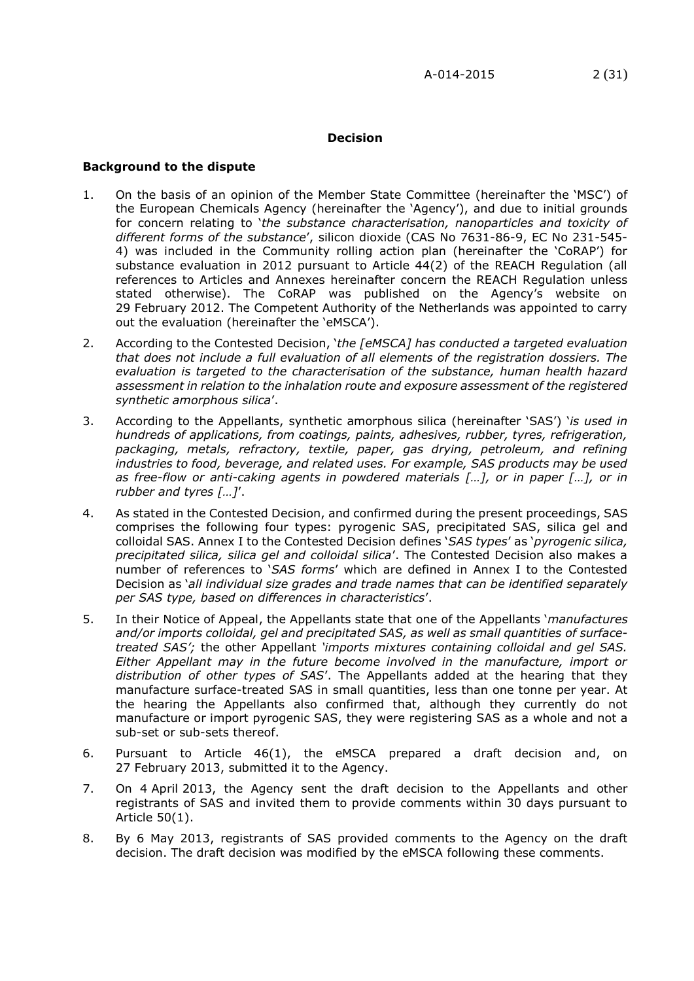#### **Decision**

#### **Background to the dispute**

- 1. On the basis of an opinion of the Member State Committee (hereinafter the 'MSC') of the European Chemicals Agency (hereinafter the 'Agency'), and due to initial grounds for concern relating to '*the substance characterisation, nanoparticles and toxicity of different forms of the substance*', silicon dioxide (CAS No 7631-86-9, EC No 231-545- 4) was included in the Community rolling action plan (hereinafter the 'CoRAP') for substance evaluation in 2012 pursuant to Article 44(2) of the REACH Regulation (all references to Articles and Annexes hereinafter concern the REACH Regulation unless stated otherwise). The CoRAP was published on the Agency's website on 29 February 2012. The Competent Authority of the Netherlands was appointed to carry out the evaluation (hereinafter the 'eMSCA').
- 2. According to the Contested Decision, '*the [eMSCA] has conducted a targeted evaluation that does not include a full evaluation of all elements of the registration dossiers. The evaluation is targeted to the characterisation of the substance, human health hazard assessment in relation to the inhalation route and exposure assessment of the registered synthetic amorphous silica*'.
- 3. According to the Appellants, synthetic amorphous silica (hereinafter 'SAS') '*is used in hundreds of applications, from coatings, paints, adhesives, rubber, tyres, refrigeration, packaging, metals, refractory, textile, paper, gas drying, petroleum, and refining industries to food, beverage, and related uses. For example, SAS products may be used as free-flow or anti-caking agents in powdered materials […], or in paper […], or in rubber and tyres […]*'.
- 4. As stated in the Contested Decision, and confirmed during the present proceedings, SAS comprises the following four types: pyrogenic SAS, precipitated SAS, silica gel and colloidal SAS. Annex I to the Contested Decision defines '*SAS types*' as '*pyrogenic silica, precipitated silica, silica gel and colloidal silica*'. The Contested Decision also makes a number of references to '*SAS forms*' which are defined in Annex I to the Contested Decision as '*all individual size grades and trade names that can be identified separately per SAS type, based on differences in characteristics*'.
- 5. In their Notice of Appeal, the Appellants state that one of the Appellants '*manufactures and/or imports colloidal, gel and precipitated SAS, as well as small quantities of surfacetreated SAS';* the other Appellant *'imports mixtures containing colloidal and gel SAS. Either Appellant may in the future become involved in the manufacture, import or distribution of other types of SAS*'. The Appellants added at the hearing that they manufacture surface-treated SAS in small quantities, less than one tonne per year. At the hearing the Appellants also confirmed that, although they currently do not manufacture or import pyrogenic SAS, they were registering SAS as a whole and not a sub-set or sub-sets thereof.
- 6. Pursuant to Article 46(1), the eMSCA prepared a draft decision and, on 27 February 2013, submitted it to the Agency.
- 7. On 4 April 2013, the Agency sent the draft decision to the Appellants and other registrants of SAS and invited them to provide comments within 30 days pursuant to Article 50(1).
- 8. By 6 May 2013, registrants of SAS provided comments to the Agency on the draft decision. The draft decision was modified by the eMSCA following these comments.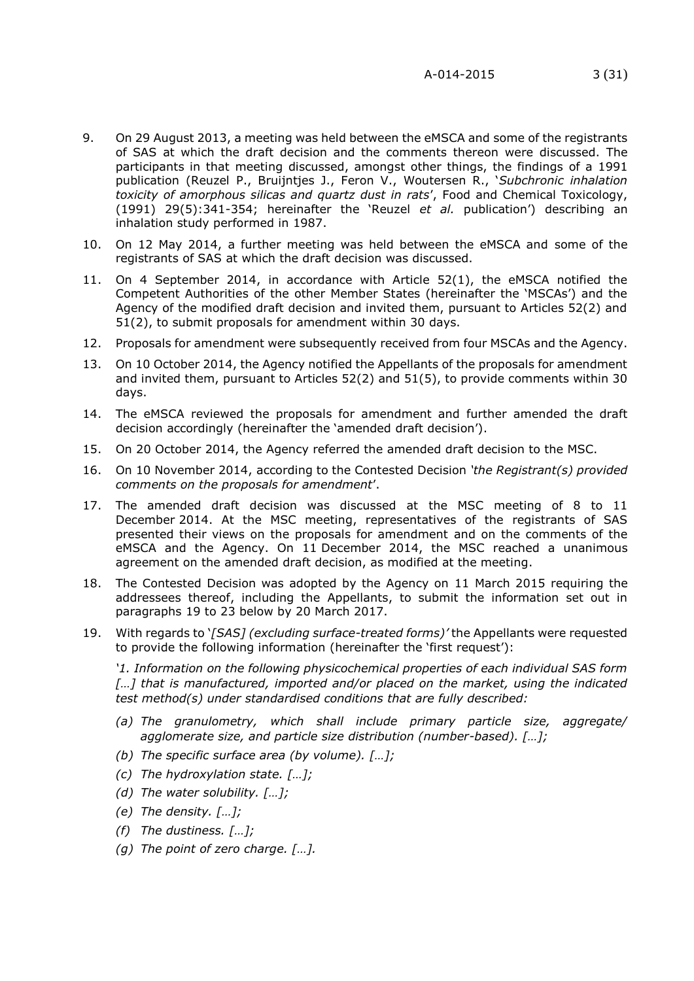- 9. On 29 August 2013, a meeting was held between the eMSCA and some of the registrants of SAS at which the draft decision and the comments thereon were discussed. The participants in that meeting discussed, amongst other things, the findings of a 1991 publication (Reuzel P., Bruijntjes J., Feron V., Woutersen R., '*Subchronic inhalation toxicity of amorphous silicas and quartz dust in rats*', Food and Chemical Toxicology, (1991) 29(5):341-354; hereinafter the 'Reuzel *et al.* publication') describing an inhalation study performed in 1987.
- 10. On 12 May 2014, a further meeting was held between the eMSCA and some of the registrants of SAS at which the draft decision was discussed.
- 11. On 4 September 2014, in accordance with Article 52(1), the eMSCA notified the Competent Authorities of the other Member States (hereinafter the 'MSCAs') and the Agency of the modified draft decision and invited them, pursuant to Articles 52(2) and 51(2), to submit proposals for amendment within 30 days.
- 12. Proposals for amendment were subsequently received from four MSCAs and the Agency.
- 13. On 10 October 2014, the Agency notified the Appellants of the proposals for amendment and invited them, pursuant to Articles 52(2) and 51(5), to provide comments within 30 days.
- 14. The eMSCA reviewed the proposals for amendment and further amended the draft decision accordingly (hereinafter the 'amended draft decision').
- 15. On 20 October 2014, the Agency referred the amended draft decision to the MSC.
- 16. On 10 November 2014, according to the Contested Decision *'the Registrant(s) provided comments on the proposals for amendment*'.
- 17. The amended draft decision was discussed at the MSC meeting of 8 to 11 December 2014. At the MSC meeting, representatives of the registrants of SAS presented their views on the proposals for amendment and on the comments of the eMSCA and the Agency. On 11 December 2014, the MSC reached a unanimous agreement on the amended draft decision, as modified at the meeting.
- 18. The Contested Decision was adopted by the Agency on 11 March 2015 requiring the addressees thereof, including the Appellants, to submit the information set out in paragraphs 19 to 23 below by 20 March 2017.
- 19. With regards to '*[SAS] (excluding surface-treated forms)'* the Appellants were requested to provide the following information (hereinafter the 'first request'):

*'1. Information on the following physicochemical properties of each individual SAS form*  [...] that is manufactured, imported and/or placed on the market, using the indicated *test method(s) under standardised conditions that are fully described:*

- *(a) The granulometry, which shall include primary particle size, aggregate/ agglomerate size, and particle size distribution (number-based). […];*
- *(b) The specific surface area (by volume). […];*
- *(c) The hydroxylation state. […];*
- *(d) The water solubility. […];*
- *(e) The density. […];*
- *(f) The dustiness. […];*
- *(g) The point of zero charge. […].*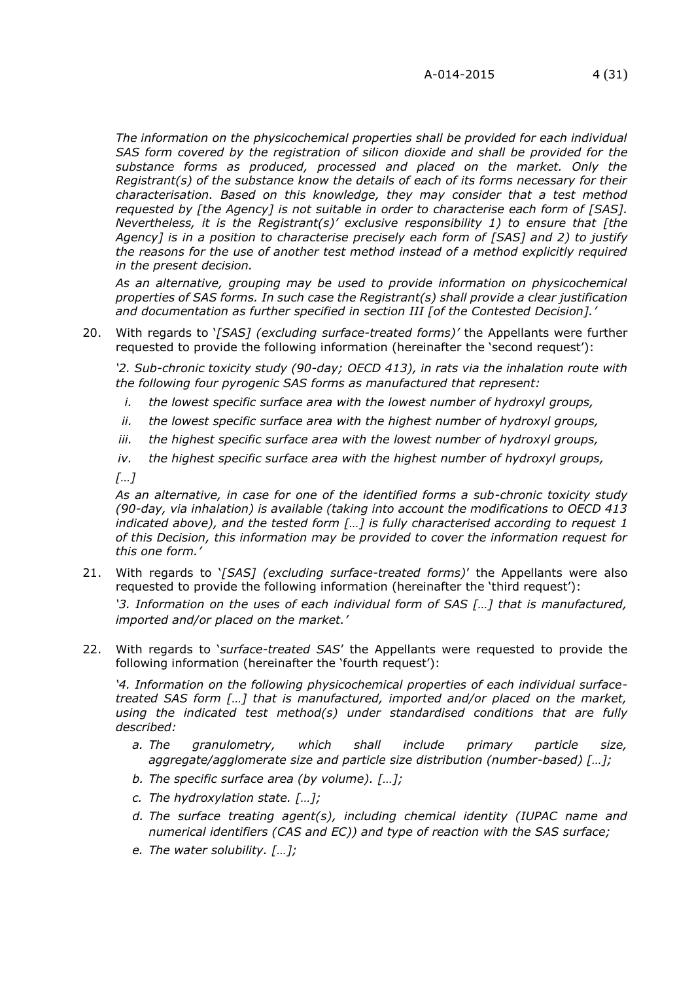*The information on the physicochemical properties shall be provided for each individual SAS form covered by the registration of silicon dioxide and shall be provided for the substance forms as produced, processed and placed on the market. Only the Registrant(s) of the substance know the details of each of its forms necessary for their characterisation. Based on this knowledge, they may consider that a test method requested by [the Agency] is not suitable in order to characterise each form of [SAS]. Nevertheless, it is the Registrant(s)' exclusive responsibility 1) to ensure that [the Agency] is in a position to characterise precisely each form of [SAS] and 2) to justify the reasons for the use of another test method instead of a method explicitly required in the present decision.*

*As an alternative, grouping may be used to provide information on physicochemical properties of SAS forms. In such case the Registrant(s) shall provide a clear justification and documentation as further specified in section III [of the Contested Decision].'*

20. With regards to '*[SAS] (excluding surface-treated forms)'* the Appellants were further requested to provide the following information (hereinafter the 'second request'):

*'2. Sub-chronic toxicity study (90-day; OECD 413), in rats via the inhalation route with the following four pyrogenic SAS forms as manufactured that represent:*

- *i. the lowest specific surface area with the lowest number of hydroxyl groups,*
- *ii. the lowest specific surface area with the highest number of hydroxyl groups,*
- *iii. the highest specific surface area with the lowest number of hydroxyl groups,*
- *iv. the highest specific surface area with the highest number of hydroxyl groups,*

*[…]*

*As an alternative, in case for one of the identified forms a sub-chronic toxicity study (90-day, via inhalation) is available (taking into account the modifications to OECD 413 indicated above), and the tested form […] is fully characterised according to request 1 of this Decision, this information may be provided to cover the information request for this one form.'*

21. With regards to '*[SAS] (excluding surface-treated forms)*' the Appellants were also requested to provide the following information (hereinafter the 'third request'):

*'3. Information on the uses of each individual form of SAS […] that is manufactured, imported and/or placed on the market.'*

22. With regards to '*surface-treated SAS*' the Appellants were requested to provide the following information (hereinafter the 'fourth request'):

*'4. Information on the following physicochemical properties of each individual surfacetreated SAS form […] that is manufactured, imported and/or placed on the market, using the indicated test method(s) under standardised conditions that are fully described:*

- *a. The granulometry, which shall include primary particle size, aggregate/agglomerate size and particle size distribution (number-based) […];*
- *b. The specific surface area (by volume). […];*
- *c. The hydroxylation state. […];*
- *d. The surface treating agent(s), including chemical identity (IUPAC name and numerical identifiers (CAS and EC)) and type of reaction with the SAS surface;*
- *e. The water solubility. […];*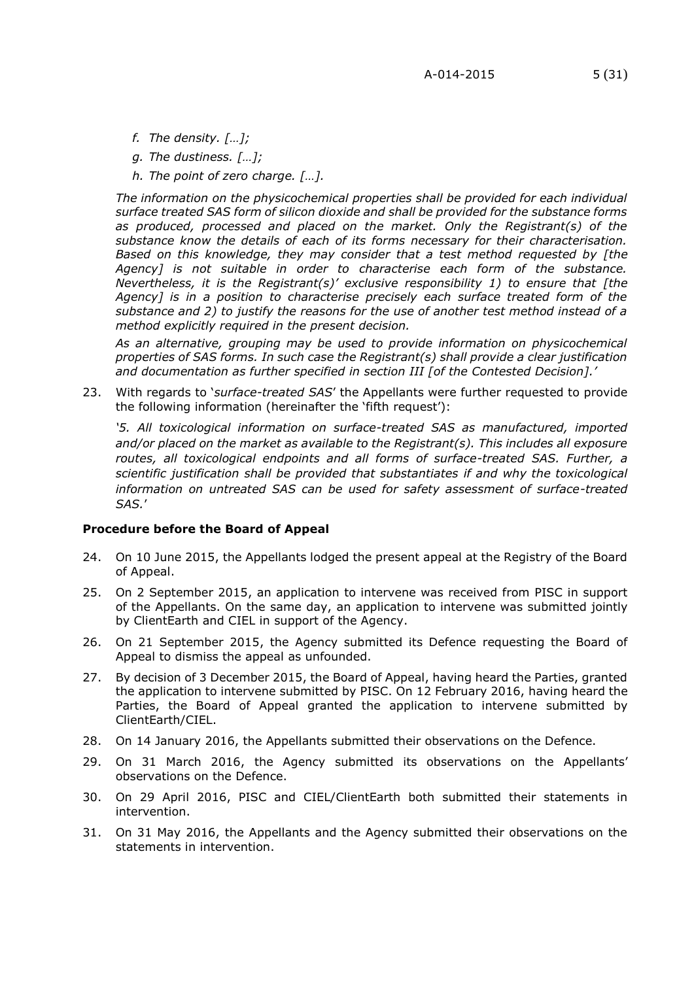- *f. The density. […];*
- *g. The dustiness. […];*
- *h. The point of zero charge. […].*

*The information on the physicochemical properties shall be provided for each individual surface treated SAS form of silicon dioxide and shall be provided for the substance forms as produced, processed and placed on the market. Only the Registrant(s) of the substance know the details of each of its forms necessary for their characterisation. Based on this knowledge, they may consider that a test method requested by [the Agency] is not suitable in order to characterise each form of the substance. Nevertheless, it is the Registrant(s)' exclusive responsibility 1) to ensure that [the Agency] is in a position to characterise precisely each surface treated form of the substance and 2) to justify the reasons for the use of another test method instead of a method explicitly required in the present decision.*

*As an alternative, grouping may be used to provide information on physicochemical properties of SAS forms. In such case the Registrant(s) shall provide a clear justification and documentation as further specified in section III [of the Contested Decision].'*

23. With regards to '*surface-treated SAS*' the Appellants were further requested to provide the following information (hereinafter the 'fifth request'):

*'5. All toxicological information on surface-treated SAS as manufactured, imported and/or placed on the market as available to the Registrant(s). This includes all exposure routes, all toxicological endpoints and all forms of surface-treated SAS. Further, a scientific justification shall be provided that substantiates if and why the toxicological information on untreated SAS can be used for safety assessment of surface-treated SAS.*'

## **Procedure before the Board of Appeal**

- 24. On 10 June 2015, the Appellants lodged the present appeal at the Registry of the Board of Appeal.
- 25. On 2 September 2015, an application to intervene was received from PISC in support of the Appellants. On the same day, an application to intervene was submitted jointly by ClientEarth and CIEL in support of the Agency.
- 26. On 21 September 2015, the Agency submitted its Defence requesting the Board of Appeal to dismiss the appeal as unfounded.
- 27. By decision of 3 December 2015, the Board of Appeal, having heard the Parties, granted the application to intervene submitted by PISC. On 12 February 2016, having heard the Parties, the Board of Appeal granted the application to intervene submitted by ClientEarth/CIEL.
- 28. On 14 January 2016, the Appellants submitted their observations on the Defence.
- 29. On 31 March 2016, the Agency submitted its observations on the Appellants' observations on the Defence.
- 30. On 29 April 2016, PISC and CIEL/ClientEarth both submitted their statements in intervention.
- 31. On 31 May 2016, the Appellants and the Agency submitted their observations on the statements in intervention.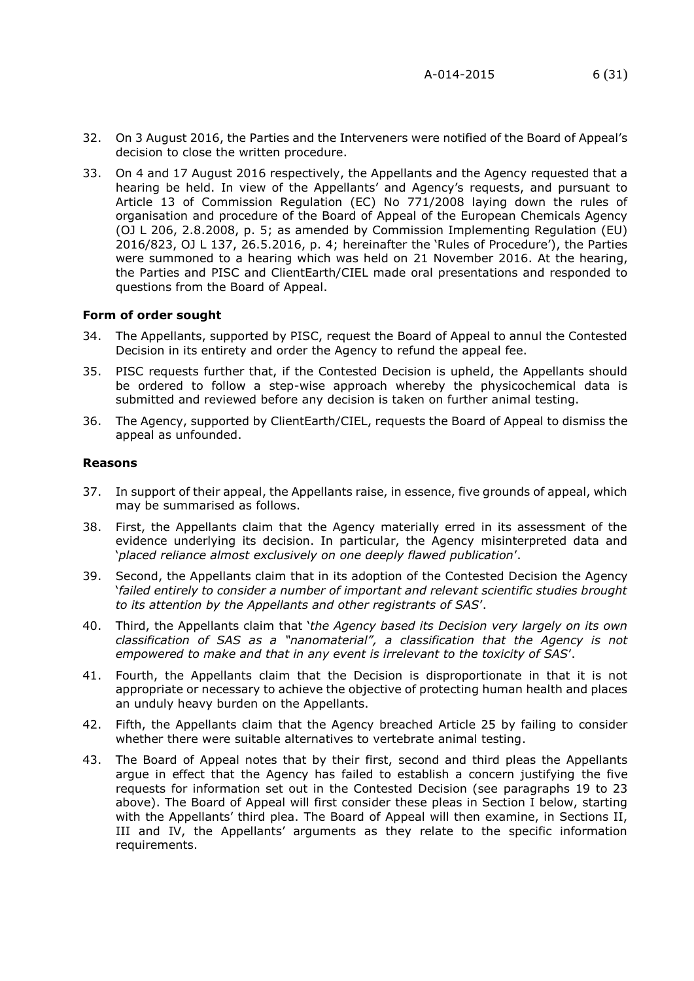- 32. On 3 August 2016, the Parties and the Interveners were notified of the Board of Appeal's decision to close the written procedure.
- 33. On 4 and 17 August 2016 respectively, the Appellants and the Agency requested that a hearing be held. In view of the Appellants' and Agency's requests, and pursuant to Article 13 of Commission Regulation (EC) No 771/2008 laying down the rules of organisation and procedure of the Board of Appeal of the European Chemicals Agency (OJ L 206, 2.8.2008, p. 5; as amended by Commission Implementing Regulation (EU) 2016/823, OJ L 137, 26.5.2016, p. 4; hereinafter the 'Rules of Procedure'), the Parties were summoned to a hearing which was held on 21 November 2016. At the hearing, the Parties and PISC and ClientEarth/CIEL made oral presentations and responded to questions from the Board of Appeal.

## **Form of order sought**

- 34. The Appellants, supported by PISC, request the Board of Appeal to annul the Contested Decision in its entirety and order the Agency to refund the appeal fee.
- 35. PISC requests further that, if the Contested Decision is upheld, the Appellants should be ordered to follow a step-wise approach whereby the physicochemical data is submitted and reviewed before any decision is taken on further animal testing.
- 36. The Agency, supported by ClientEarth/CIEL, requests the Board of Appeal to dismiss the appeal as unfounded.

## **Reasons**

- 37. In support of their appeal, the Appellants raise, in essence, five grounds of appeal, which may be summarised as follows.
- 38. First, the Appellants claim that the Agency materially erred in its assessment of the evidence underlying its decision. In particular, the Agency misinterpreted data and '*placed reliance almost exclusively on one deeply flawed publication*'.
- 39. Second, the Appellants claim that in its adoption of the Contested Decision the Agency '*failed entirely to consider a number of important and relevant scientific studies brought to its attention by the Appellants and other registrants of SAS*'.
- 40. Third, the Appellants claim that '*the Agency based its Decision very largely on its own classification of SAS as a "nanomaterial", a classification that the Agency is not empowered to make and that in any event is irrelevant to the toxicity of SAS*'.
- 41. Fourth, the Appellants claim that the Decision is disproportionate in that it is not appropriate or necessary to achieve the objective of protecting human health and places an unduly heavy burden on the Appellants.
- 42. Fifth, the Appellants claim that the Agency breached Article 25 by failing to consider whether there were suitable alternatives to vertebrate animal testing.
- 43. The Board of Appeal notes that by their first, second and third pleas the Appellants argue in effect that the Agency has failed to establish a concern justifying the five requests for information set out in the Contested Decision (see paragraphs 19 to 23 above). The Board of Appeal will first consider these pleas in Section I below, starting with the Appellants' third plea. The Board of Appeal will then examine, in Sections II, III and IV, the Appellants' arguments as they relate to the specific information requirements.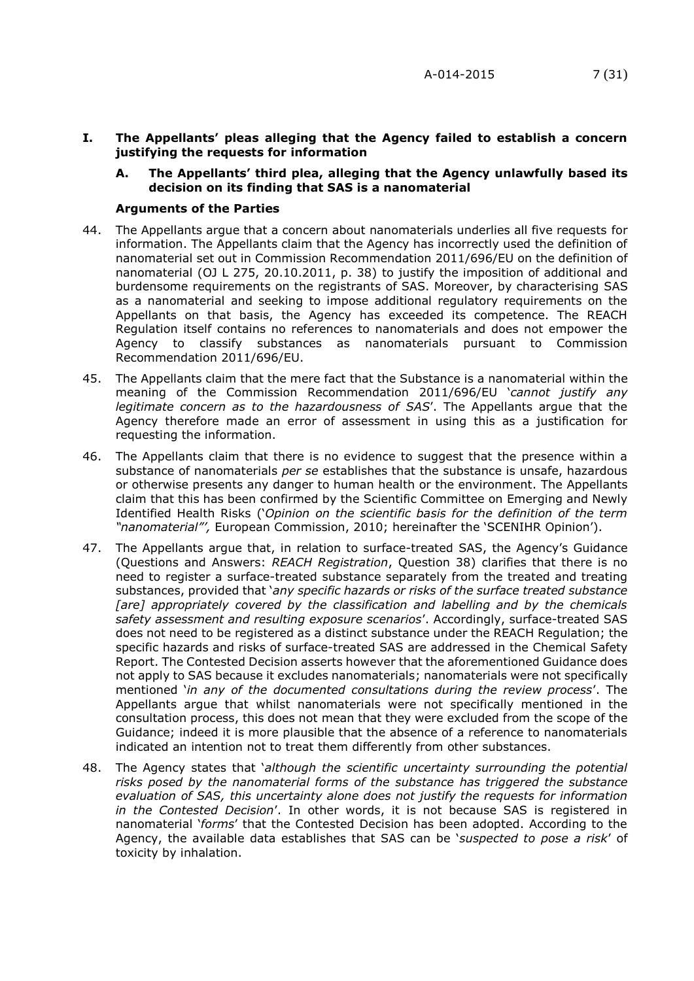## **I. The Appellants' pleas alleging that the Agency failed to establish a concern justifying the requests for information**

## **A. The Appellants' third plea, alleging that the Agency unlawfully based its decision on its finding that SAS is a nanomaterial**

## **Arguments of the Parties**

- 44. The Appellants argue that a concern about nanomaterials underlies all five requests for information. The Appellants claim that the Agency has incorrectly used the definition of nanomaterial set out in Commission Recommendation 2011/696/EU on the definition of nanomaterial (OJ L 275, 20.10.2011, p. 38) to justify the imposition of additional and burdensome requirements on the registrants of SAS. Moreover, by characterising SAS as a nanomaterial and seeking to impose additional regulatory requirements on the Appellants on that basis, the Agency has exceeded its competence. The REACH Regulation itself contains no references to nanomaterials and does not empower the Agency to classify substances as nanomaterials pursuant to Commission Recommendation 2011/696/EU.
- 45. The Appellants claim that the mere fact that the Substance is a nanomaterial within the meaning of the Commission Recommendation 2011/696/EU '*cannot justify any legitimate concern as to the hazardousness of SAS*'. The Appellants argue that the Agency therefore made an error of assessment in using this as a justification for requesting the information.
- 46. The Appellants claim that there is no evidence to suggest that the presence within a substance of nanomaterials *per se* establishes that the substance is unsafe, hazardous or otherwise presents any danger to human health or the environment. The Appellants claim that this has been confirmed by the Scientific Committee on Emerging and Newly Identified Health Risks ('*Opinion on the scientific basis for the definition of the term "nanomaterial"',* European Commission, 2010; hereinafter the 'SCENIHR Opinion').
- 47. The Appellants argue that, in relation to surface-treated SAS, the Agency's Guidance (Questions and Answers: *REACH Registration*, Question 38) clarifies that there is no need to register a surface-treated substance separately from the treated and treating substances, provided that '*any specific hazards or risks of the surface treated substance*  [are] appropriately covered by the classification and labelling and by the chemicals *safety assessment and resulting exposure scenarios*'. Accordingly, surface-treated SAS does not need to be registered as a distinct substance under the REACH Regulation; the specific hazards and risks of surface-treated SAS are addressed in the Chemical Safety Report. The Contested Decision asserts however that the aforementioned Guidance does not apply to SAS because it excludes nanomaterials; nanomaterials were not specifically mentioned '*in any of the documented consultations during the review process*'. The Appellants argue that whilst nanomaterials were not specifically mentioned in the consultation process, this does not mean that they were excluded from the scope of the Guidance; indeed it is more plausible that the absence of a reference to nanomaterials indicated an intention not to treat them differently from other substances.
- 48. The Agency states that '*although the scientific uncertainty surrounding the potential risks posed by the nanomaterial forms of the substance has triggered the substance evaluation of SAS, this uncertainty alone does not justify the requests for information in the Contested Decision*'. In other words, it is not because SAS is registered in nanomaterial '*forms*' that the Contested Decision has been adopted. According to the Agency, the available data establishes that SAS can be '*suspected to pose a risk*' of toxicity by inhalation.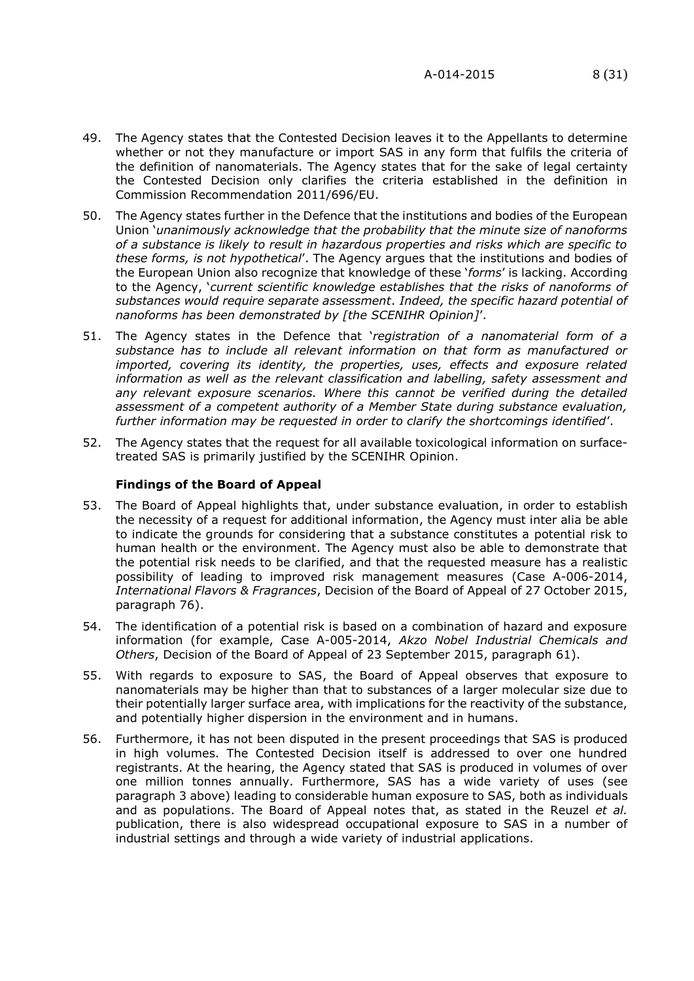- 49. The Agency states that the Contested Decision leaves it to the Appellants to determine whether or not they manufacture or import SAS in any form that fulfils the criteria of the definition of nanomaterials. The Agency states that for the sake of legal certainty the Contested Decision only clarifies the criteria established in the definition in Commission Recommendation 2011/696/EU.
- 50. The Agency states further in the Defence that the institutions and bodies of the European Union '*unanimously acknowledge that the probability that the minute size of nanoforms of a substance is likely to result in hazardous properties and risks which are specific to these forms, is not hypothetical*'. The Agency argues that the institutions and bodies of the European Union also recognize that knowledge of these '*forms*' is lacking. According to the Agency, '*current scientific knowledge establishes that the risks of nanoforms of substances would require separate assessment*. *Indeed, the specific hazard potential of nanoforms has been demonstrated by [the SCENIHR Opinion]*'.
- 51. The Agency states in the Defence that '*registration of a nanomaterial form of a substance has to include all relevant information on that form as manufactured or imported, covering its identity, the properties, uses, effects and exposure related information as well as the relevant classification and labelling, safety assessment and any relevant exposure scenarios. Where this cannot be verified during the detailed assessment of a competent authority of a Member State during substance evaluation, further information may be requested in order to clarify the shortcomings identified*'.
- 52. The Agency states that the request for all available toxicological information on surfacetreated SAS is primarily justified by the SCENIHR Opinion.

# **Findings of the Board of Appeal**

- 53. The Board of Appeal highlights that, under substance evaluation, in order to establish the necessity of a request for additional information, the Agency must inter alia be able to indicate the grounds for considering that a substance constitutes a potential risk to human health or the environment. The Agency must also be able to demonstrate that the potential risk needs to be clarified, and that the requested measure has a realistic possibility of leading to improved risk management measures (Case A-006-2014, *International Flavors & Fragrances*, Decision of the Board of Appeal of 27 October 2015, paragraph 76).
- 54. The identification of a potential risk is based on a combination of hazard and exposure information (for example, Case A-005-2014, *Akzo Nobel Industrial Chemicals and Others*, Decision of the Board of Appeal of 23 September 2015, paragraph 61).
- 55. With regards to exposure to SAS, the Board of Appeal observes that exposure to nanomaterials may be higher than that to substances of a larger molecular size due to their potentially larger surface area, with implications for the reactivity of the substance, and potentially higher dispersion in the environment and in humans.
- 56. Furthermore, it has not been disputed in the present proceedings that SAS is produced in high volumes. The Contested Decision itself is addressed to over one hundred registrants. At the hearing, the Agency stated that SAS is produced in volumes of over one million tonnes annually. Furthermore, SAS has a wide variety of uses (see paragraph 3 above) leading to considerable human exposure to SAS, both as individuals and as populations. The Board of Appeal notes that, as stated in the Reuzel *et al.* publication, there is also widespread occupational exposure to SAS in a number of industrial settings and through a wide variety of industrial applications.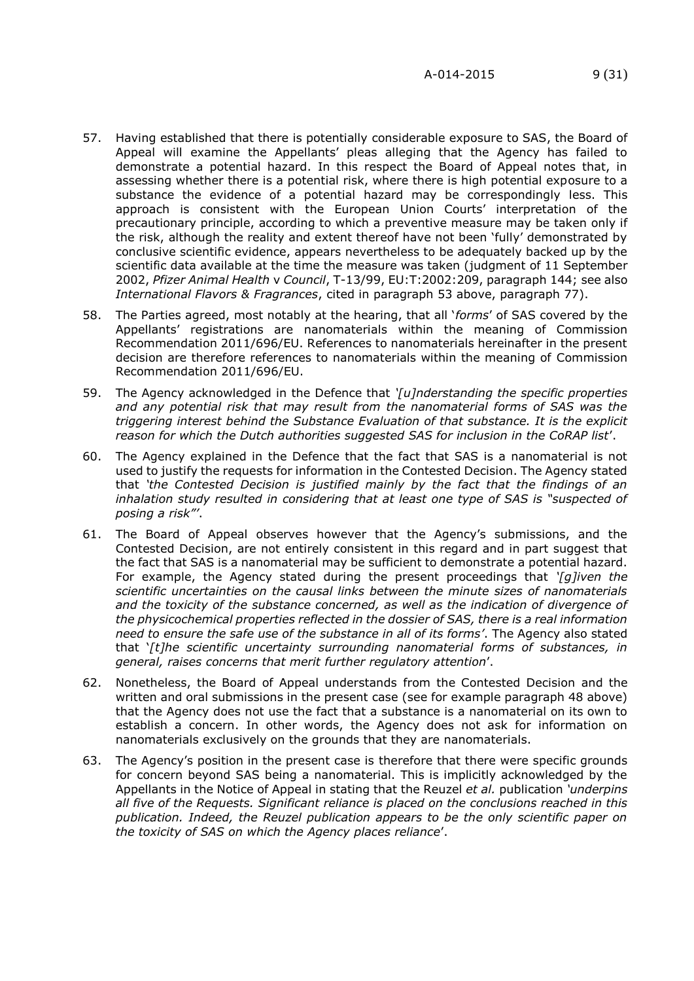- 57. Having established that there is potentially considerable exposure to SAS, the Board of Appeal will examine the Appellants' pleas alleging that the Agency has failed to demonstrate a potential hazard. In this respect the Board of Appeal notes that, in assessing whether there is a potential risk, where there is high potential exposure to a substance the evidence of a potential hazard may be correspondingly less. This approach is consistent with the European Union Courts' interpretation of the precautionary principle, according to which a preventive measure may be taken only if the risk, although the reality and extent thereof have not been 'fully' demonstrated by conclusive scientific evidence, appears nevertheless to be adequately backed up by the scientific data available at the time the measure was taken (judgment of 11 September 2002, *Pfizer Animal Health* v *Council*, T-13/99, EU:T:2002:209, paragraph 144; see also *International Flavors & Fragrances*, cited in paragraph 53 above, paragraph 77).
- 58. The Parties agreed, most notably at the hearing, that all '*forms*' of SAS covered by the Appellants' registrations are nanomaterials within the meaning of Commission Recommendation 2011/696/EU. References to nanomaterials hereinafter in the present decision are therefore references to nanomaterials within the meaning of Commission Recommendation 2011/696/EU.
- 59. The Agency acknowledged in the Defence that *'[u]nderstanding the specific properties and any potential risk that may result from the nanomaterial forms of SAS was the triggering interest behind the Substance Evaluation of that substance. It is the explicit reason for which the Dutch authorities suggested SAS for inclusion in the CoRAP list*'.
- 60. The Agency explained in the Defence that the fact that SAS is a nanomaterial is not used to justify the requests for information in the Contested Decision. The Agency stated that *'the Contested Decision is justified mainly by the fact that the findings of an inhalation study resulted in considering that at least one type of SAS is "suspected of posing a risk"'*.
- 61. The Board of Appeal observes however that the Agency's submissions, and the Contested Decision, are not entirely consistent in this regard and in part suggest that the fact that SAS is a nanomaterial may be sufficient to demonstrate a potential hazard. For example, the Agency stated during the present proceedings that *'[g]iven the scientific uncertainties on the causal links between the minute sizes of nanomaterials and the toxicity of the substance concerned, as well as the indication of divergence of the physicochemical properties reflected in the dossier of SAS, there is a real information need to ensure the safe use of the substance in all of its forms'*. The Agency also stated that '*[t]he scientific uncertainty surrounding nanomaterial forms of substances, in general, raises concerns that merit further regulatory attention*'.
- 62. Nonetheless, the Board of Appeal understands from the Contested Decision and the written and oral submissions in the present case (see for example paragraph 48 above) that the Agency does not use the fact that a substance is a nanomaterial on its own to establish a concern. In other words, the Agency does not ask for information on nanomaterials exclusively on the grounds that they are nanomaterials.
- 63. The Agency's position in the present case is therefore that there were specific grounds for concern beyond SAS being a nanomaterial. This is implicitly acknowledged by the Appellants in the Notice of Appeal in stating that the Reuzel *et al.* publication *'underpins all five of the Requests. Significant reliance is placed on the conclusions reached in this publication. Indeed, the Reuzel publication appears to be the only scientific paper on the toxicity of SAS on which the Agency places reliance*'.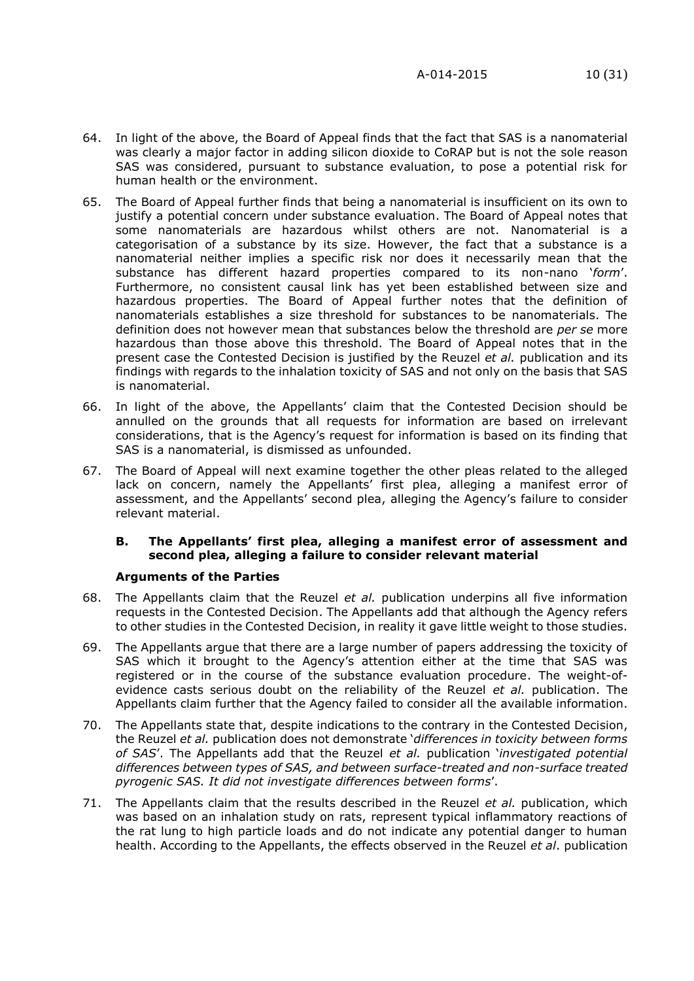- 64. In light of the above, the Board of Appeal finds that the fact that SAS is a nanomaterial was clearly a major factor in adding silicon dioxide to CoRAP but is not the sole reason SAS was considered, pursuant to substance evaluation, to pose a potential risk for human health or the environment.
- 65. The Board of Appeal further finds that being a nanomaterial is insufficient on its own to justify a potential concern under substance evaluation. The Board of Appeal notes that some nanomaterials are hazardous whilst others are not. Nanomaterial is a categorisation of a substance by its size. However, the fact that a substance is a nanomaterial neither implies a specific risk nor does it necessarily mean that the substance has different hazard properties compared to its non-nano '*form*'. Furthermore, no consistent causal link has yet been established between size and hazardous properties. The Board of Appeal further notes that the definition of nanomaterials establishes a size threshold for substances to be nanomaterials. The definition does not however mean that substances below the threshold are *per se* more hazardous than those above this threshold. The Board of Appeal notes that in the present case the Contested Decision is justified by the Reuzel *et al.* publication and its findings with regards to the inhalation toxicity of SAS and not only on the basis that SAS is nanomaterial.
- 66. In light of the above, the Appellants' claim that the Contested Decision should be annulled on the grounds that all requests for information are based on irrelevant considerations, that is the Agency's request for information is based on its finding that SAS is a nanomaterial, is dismissed as unfounded.
- 67. The Board of Appeal will next examine together the other pleas related to the alleged lack on concern, namely the Appellants' first plea, alleging a manifest error of assessment, and the Appellants' second plea, alleging the Agency's failure to consider relevant material.

# **B. The Appellants' first plea, alleging a manifest error of assessment and second plea, alleging a failure to consider relevant material**

## **Arguments of the Parties**

- 68. The Appellants claim that the Reuzel *et al.* publication underpins all five information requests in the Contested Decision. The Appellants add that although the Agency refers to other studies in the Contested Decision, in reality it gave little weight to those studies.
- 69. The Appellants argue that there are a large number of papers addressing the toxicity of SAS which it brought to the Agency's attention either at the time that SAS was registered or in the course of the substance evaluation procedure. The weight-ofevidence casts serious doubt on the reliability of the Reuzel *et al.* publication. The Appellants claim further that the Agency failed to consider all the available information.
- 70. The Appellants state that, despite indications to the contrary in the Contested Decision, the Reuzel *et al.* publication does not demonstrate '*differences in toxicity between forms of SAS*'. The Appellants add that the Reuzel *et al.* publication '*investigated potential differences between types of SAS, and between surface-treated and non-surface treated pyrogenic SAS. It did not investigate differences between forms*'.
- 71. The Appellants claim that the results described in the Reuzel *et al.* publication, which was based on an inhalation study on rats, represent typical inflammatory reactions of the rat lung to high particle loads and do not indicate any potential danger to human health. According to the Appellants, the effects observed in the Reuzel *et al*. publication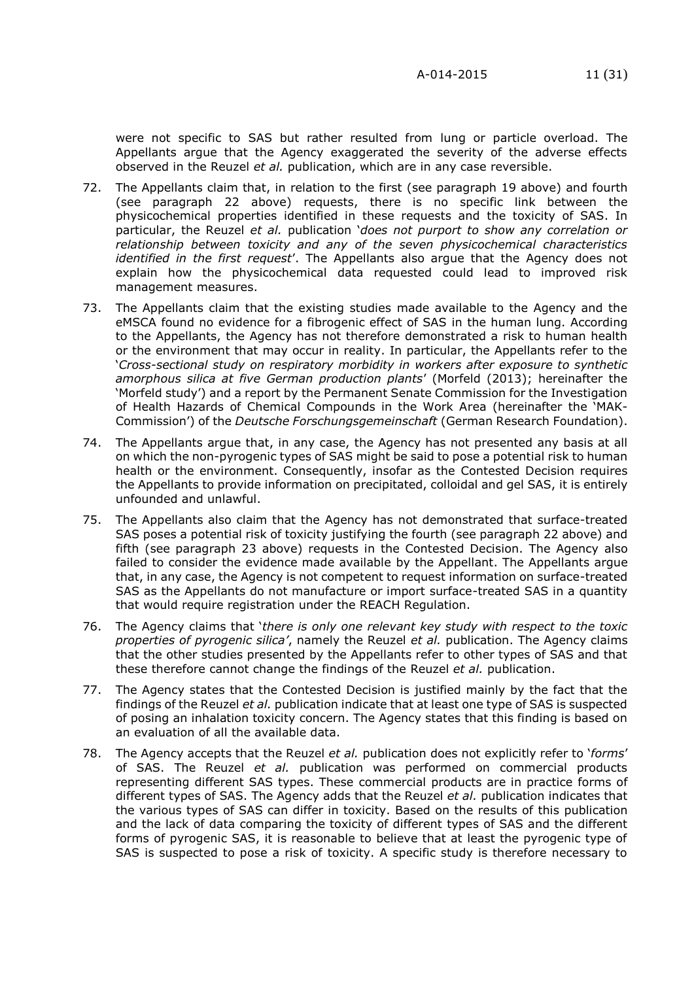were not specific to SAS but rather resulted from lung or particle overload. The Appellants argue that the Agency exaggerated the severity of the adverse effects observed in the Reuzel *et al.* publication, which are in any case reversible.

- 72. The Appellants claim that, in relation to the first (see paragraph 19 above) and fourth (see paragraph 22 above) requests, there is no specific link between the physicochemical properties identified in these requests and the toxicity of SAS. In particular, the Reuzel *et al.* publication '*does not purport to show any correlation or relationship between toxicity and any of the seven physicochemical characteristics identified in the first request*'. The Appellants also argue that the Agency does not explain how the physicochemical data requested could lead to improved risk management measures.
- 73. The Appellants claim that the existing studies made available to the Agency and the eMSCA found no evidence for a fibrogenic effect of SAS in the human lung. According to the Appellants, the Agency has not therefore demonstrated a risk to human health or the environment that may occur in reality. In particular, the Appellants refer to the '*Cross-sectional study on respiratory morbidity in workers after exposure to synthetic amorphous silica at five German production plants*' (Morfeld (2013); hereinafter the 'Morfeld study') and a report by the Permanent Senate Commission for the Investigation of Health Hazards of Chemical Compounds in the Work Area (hereinafter the 'MAK-Commission') of the *Deutsche Forschungsgemeinschaft* (German Research Foundation).
- 74. The Appellants argue that, in any case, the Agency has not presented any basis at all on which the non-pyrogenic types of SAS might be said to pose a potential risk to human health or the environment. Consequently, insofar as the Contested Decision requires the Appellants to provide information on precipitated, colloidal and gel SAS, it is entirely unfounded and unlawful.
- 75. The Appellants also claim that the Agency has not demonstrated that surface-treated SAS poses a potential risk of toxicity justifying the fourth (see paragraph 22 above) and fifth (see paragraph 23 above) requests in the Contested Decision. The Agency also failed to consider the evidence made available by the Appellant. The Appellants argue that, in any case, the Agency is not competent to request information on surface-treated SAS as the Appellants do not manufacture or import surface-treated SAS in a quantity that would require registration under the REACH Regulation.
- 76. The Agency claims that '*there is only one relevant key study with respect to the toxic properties of pyrogenic silica'*, namely the Reuzel *et al.* publication. The Agency claims that the other studies presented by the Appellants refer to other types of SAS and that these therefore cannot change the findings of the Reuzel *et al.* publication.
- 77. The Agency states that the Contested Decision is justified mainly by the fact that the findings of the Reuzel *et al.* publication indicate that at least one type of SAS is suspected of posing an inhalation toxicity concern. The Agency states that this finding is based on an evaluation of all the available data.
- 78. The Agency accepts that the Reuzel *et al.* publication does not explicitly refer to '*forms*' of SAS. The Reuzel *et al.* publication was performed on commercial products representing different SAS types. These commercial products are in practice forms of different types of SAS. The Agency adds that the Reuzel *et al.* publication indicates that the various types of SAS can differ in toxicity. Based on the results of this publication and the lack of data comparing the toxicity of different types of SAS and the different forms of pyrogenic SAS, it is reasonable to believe that at least the pyrogenic type of SAS is suspected to pose a risk of toxicity. A specific study is therefore necessary to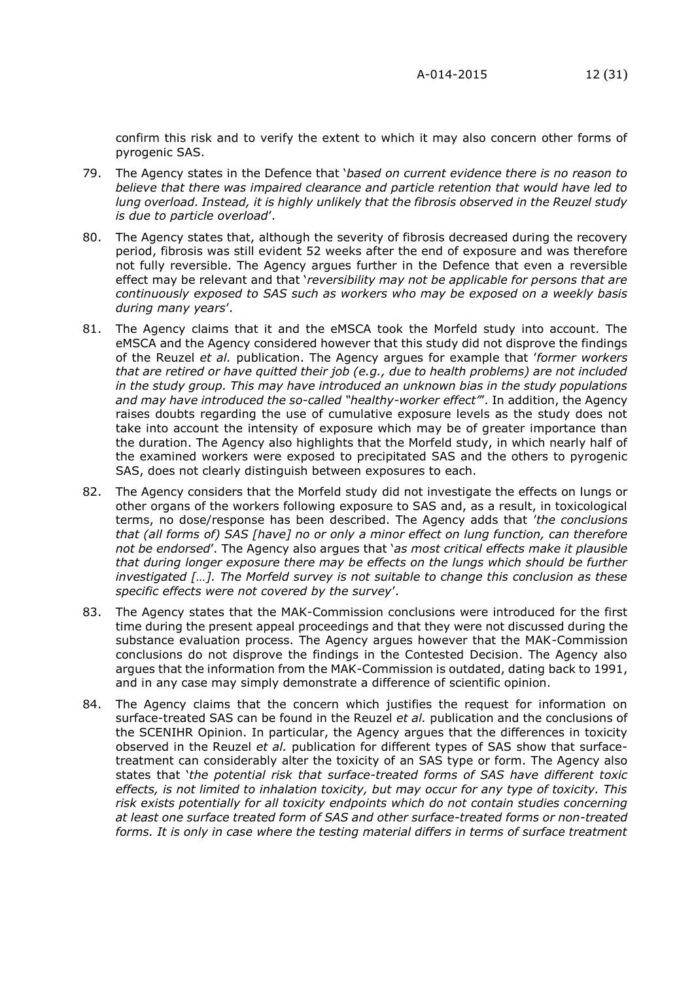confirm this risk and to verify the extent to which it may also concern other forms of pyrogenic SAS.

- 79. The Agency states in the Defence that '*based on current evidence there is no reason to believe that there was impaired clearance and particle retention that would have led to lung overload. Instead, it is highly unlikely that the fibrosis observed in the Reuzel study is due to particle overload*'.
- 80. The Agency states that, although the severity of fibrosis decreased during the recovery period, fibrosis was still evident 52 weeks after the end of exposure and was therefore not fully reversible. The Agency argues further in the Defence that even a reversible effect may be relevant and that '*reversibility may not be applicable for persons that are continuously exposed to SAS such as workers who may be exposed on a weekly basis during many years*'.
- 81. The Agency claims that it and the eMSCA took the Morfeld study into account. The eMSCA and the Agency considered however that this study did not disprove the findings of the Reuzel *et al.* publication. The Agency argues for example that '*former workers that are retired or have quitted their job (e.g., due to health problems) are not included in the study group. This may have introduced an unknown bias in the study populations and may have introduced the so-called "healthy-worker effect"*'. In addition, the Agency raises doubts regarding the use of cumulative exposure levels as the study does not take into account the intensity of exposure which may be of greater importance than the duration. The Agency also highlights that the Morfeld study, in which nearly half of the examined workers were exposed to precipitated SAS and the others to pyrogenic SAS, does not clearly distinguish between exposures to each.
- 82. The Agency considers that the Morfeld study did not investigate the effects on lungs or other organs of the workers following exposure to SAS and, as a result, in toxicological terms, no dose/response has been described. The Agency adds that '*the conclusions that (all forms of) SAS [have] no or only a minor effect on lung function, can therefore not be endorsed*'. The Agency also argues that '*as most critical effects make it plausible that during longer exposure there may be effects on the lungs which should be further investigated […]. The Morfeld survey is not suitable to change this conclusion as these specific effects were not covered by the survey*'.
- 83. The Agency states that the MAK-Commission conclusions were introduced for the first time during the present appeal proceedings and that they were not discussed during the substance evaluation process. The Agency argues however that the MAK-Commission conclusions do not disprove the findings in the Contested Decision. The Agency also argues that the information from the MAK-Commission is outdated, dating back to 1991, and in any case may simply demonstrate a difference of scientific opinion.
- 84. The Agency claims that the concern which justifies the request for information on surface-treated SAS can be found in the Reuzel *et al.* publication and the conclusions of the SCENIHR Opinion. In particular, the Agency argues that the differences in toxicity observed in the Reuzel *et al.* publication for different types of SAS show that surfacetreatment can considerably alter the toxicity of an SAS type or form. The Agency also states that '*the potential risk that surface-treated forms of SAS have different toxic effects, is not limited to inhalation toxicity, but may occur for any type of toxicity. This risk exists potentially for all toxicity endpoints which do not contain studies concerning at least one surface treated form of SAS and other surface-treated forms or non-treated forms. It is only in case where the testing material differs in terms of surface treatment*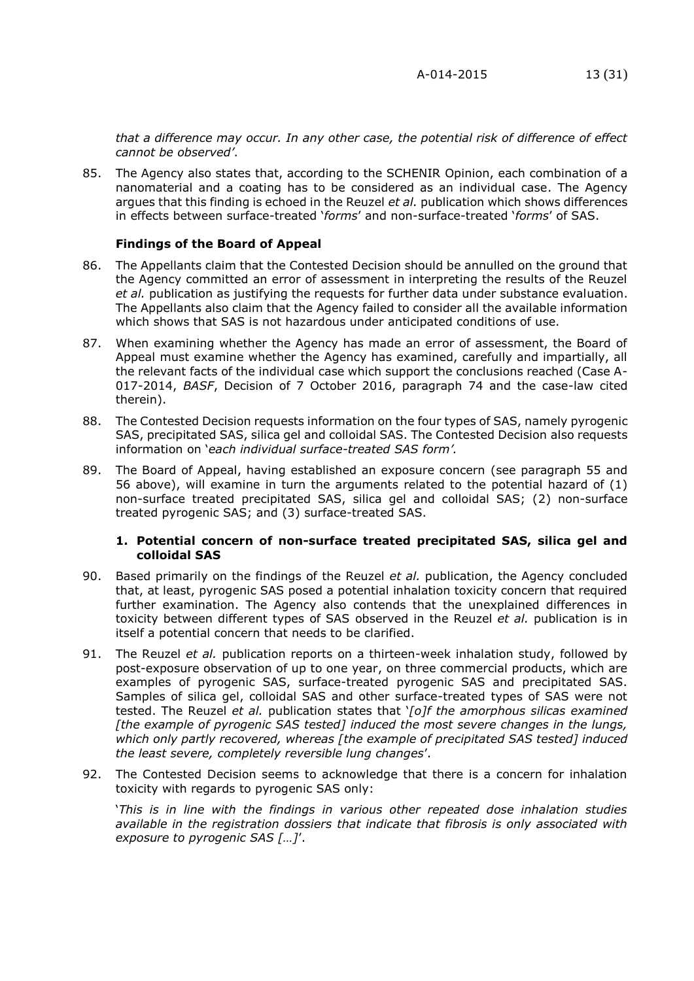*that a difference may occur. In any other case, the potential risk of difference of effect cannot be observed'*.

85. The Agency also states that, according to the SCHENIR Opinion, each combination of a nanomaterial and a coating has to be considered as an individual case. The Agency argues that this finding is echoed in the Reuzel *et al.* publication which shows differences in effects between surface-treated '*forms*' and non-surface-treated '*forms*' of SAS.

# **Findings of the Board of Appeal**

- 86. The Appellants claim that the Contested Decision should be annulled on the ground that the Agency committed an error of assessment in interpreting the results of the Reuzel *et al.* publication as justifying the requests for further data under substance evaluation. The Appellants also claim that the Agency failed to consider all the available information which shows that SAS is not hazardous under anticipated conditions of use.
- 87. When examining whether the Agency has made an error of assessment, the Board of Appeal must examine whether the Agency has examined, carefully and impartially, all the relevant facts of the individual case which support the conclusions reached (Case A-017-2014, *BASF*, Decision of 7 October 2016, paragraph 74 and the case-law cited therein).
- 88. The Contested Decision requests information on the four types of SAS, namely pyrogenic SAS, precipitated SAS, silica gel and colloidal SAS. The Contested Decision also requests information on '*each individual surface-treated SAS form'.*
- 89. The Board of Appeal, having established an exposure concern (see paragraph 55 and 56 above), will examine in turn the arguments related to the potential hazard of (1) non-surface treated precipitated SAS, silica gel and colloidal SAS; (2) non-surface treated pyrogenic SAS; and (3) surface-treated SAS.

#### **1. Potential concern of non-surface treated precipitated SAS, silica gel and colloidal SAS**

- 90. Based primarily on the findings of the Reuzel *et al.* publication, the Agency concluded that, at least, pyrogenic SAS posed a potential inhalation toxicity concern that required further examination. The Agency also contends that the unexplained differences in toxicity between different types of SAS observed in the Reuzel *et al.* publication is in itself a potential concern that needs to be clarified.
- 91. The Reuzel *et al.* publication reports on a thirteen-week inhalation study, followed by post-exposure observation of up to one year, on three commercial products, which are examples of pyrogenic SAS, surface-treated pyrogenic SAS and precipitated SAS. Samples of silica gel, colloidal SAS and other surface-treated types of SAS were not tested. The Reuzel *et al.* publication states that '*[o]f the amorphous silicas examined [the example of pyrogenic SAS tested] induced the most severe changes in the lungs, which only partly recovered, whereas [the example of precipitated SAS tested] induced the least severe, completely reversible lung changes*'.
- 92. The Contested Decision seems to acknowledge that there is a concern for inhalation toxicity with regards to pyrogenic SAS only:

'*This is in line with the findings in various other repeated dose inhalation studies available in the registration dossiers that indicate that fibrosis is only associated with exposure to pyrogenic SAS […]*'.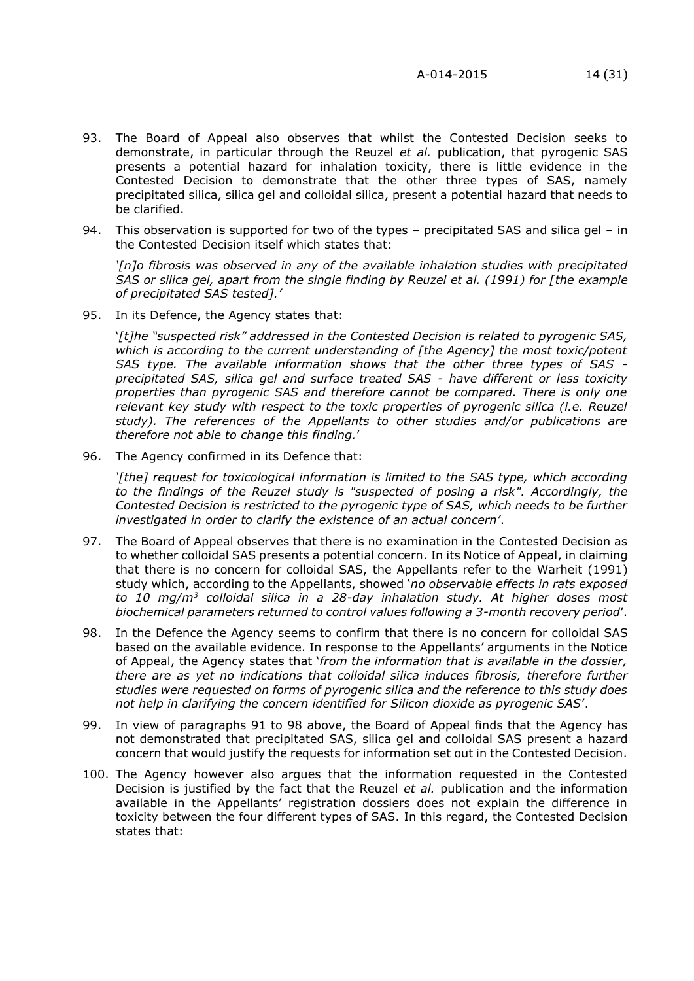- 93. The Board of Appeal also observes that whilst the Contested Decision seeks to demonstrate, in particular through the Reuzel *et al.* publication, that pyrogenic SAS presents a potential hazard for inhalation toxicity, there is little evidence in the Contested Decision to demonstrate that the other three types of SAS, namely precipitated silica, silica gel and colloidal silica, present a potential hazard that needs to be clarified.
- 94. This observation is supported for two of the types precipitated SAS and silica gel in the Contested Decision itself which states that:

*'[n]o fibrosis was observed in any of the available inhalation studies with precipitated SAS or silica gel, apart from the single finding by Reuzel et al. (1991) for [the example of precipitated SAS tested].'*

95. In its Defence, the Agency states that:

'*[t]he "suspected risk" addressed in the Contested Decision is related to pyrogenic SAS, which is according to the current understanding of [the Agency] the most toxic/potent SAS type. The available information shows that the other three types of SAS precipitated SAS, silica gel and surface treated SAS - have different or less toxicity properties than pyrogenic SAS and therefore cannot be compared. There is only one relevant key study with respect to the toxic properties of pyrogenic silica (i.e. Reuzel study). The references of the Appellants to other studies and/or publications are therefore not able to change this finding.*'

96. The Agency confirmed in its Defence that:

*'[the] request for toxicological information is limited to the SAS type, which according to the findings of the Reuzel study is "suspected of posing a risk". Accordingly, the Contested Decision is restricted to the pyrogenic type of SAS, which needs to be further investigated in order to clarify the existence of an actual concern'*.

- 97. The Board of Appeal observes that there is no examination in the Contested Decision as to whether colloidal SAS presents a potential concern. In its Notice of Appeal, in claiming that there is no concern for colloidal SAS, the Appellants refer to the Warheit (1991) study which, according to the Appellants, showed '*no observable effects in rats exposed to 10 mg/m<sup>3</sup> colloidal silica in a 28-day inhalation study. At higher doses most biochemical parameters returned to control values following a 3-month recovery period*'.
- 98. In the Defence the Agency seems to confirm that there is no concern for colloidal SAS based on the available evidence. In response to the Appellants' arguments in the Notice of Appeal, the Agency states that '*from the information that is available in the dossier, there are as yet no indications that colloidal silica induces fibrosis, therefore further studies were requested on forms of pyrogenic silica and the reference to this study does not help in clarifying the concern identified for Silicon dioxide as pyrogenic SAS*'.
- 99. In view of paragraphs 91 to 98 above, the Board of Appeal finds that the Agency has not demonstrated that precipitated SAS, silica gel and colloidal SAS present a hazard concern that would justify the requests for information set out in the Contested Decision.
- 100. The Agency however also argues that the information requested in the Contested Decision is justified by the fact that the Reuzel *et al.* publication and the information available in the Appellants' registration dossiers does not explain the difference in toxicity between the four different types of SAS. In this regard, the Contested Decision states that: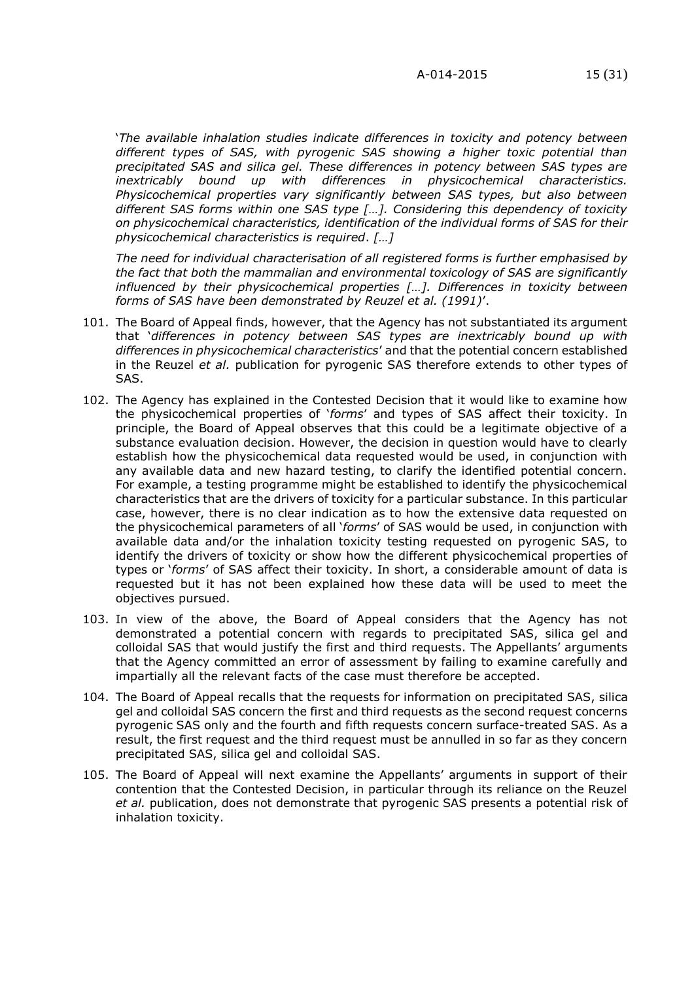'*The available inhalation studies indicate differences in toxicity and potency between different types of SAS, with pyrogenic SAS showing a higher toxic potential than precipitated SAS and silica gel. These differences in potency between SAS types are inextricably bound up with differences in physicochemical characteristics. Physicochemical properties vary significantly between SAS types, but also between different SAS forms within one SAS type […]. Considering this dependency of toxicity on physicochemical characteristics, identification of the individual forms of SAS for their physicochemical characteristics is required*. *[…]*

*The need for individual characterisation of all registered forms is further emphasised by the fact that both the mammalian and environmental toxicology of SAS are significantly influenced by their physicochemical properties […]. Differences in toxicity between forms of SAS have been demonstrated by Reuzel et al. (1991)*'.

- 101. The Board of Appeal finds, however, that the Agency has not substantiated its argument that '*differences in potency between SAS types are inextricably bound up with differences in physicochemical characteristics*' and that the potential concern established in the Reuzel *et al.* publication for pyrogenic SAS therefore extends to other types of SAS.
- 102. The Agency has explained in the Contested Decision that it would like to examine how the physicochemical properties of '*forms*' and types of SAS affect their toxicity. In principle, the Board of Appeal observes that this could be a legitimate objective of a substance evaluation decision. However, the decision in question would have to clearly establish how the physicochemical data requested would be used, in conjunction with any available data and new hazard testing, to clarify the identified potential concern. For example, a testing programme might be established to identify the physicochemical characteristics that are the drivers of toxicity for a particular substance. In this particular case, however, there is no clear indication as to how the extensive data requested on the physicochemical parameters of all '*forms*' of SAS would be used, in conjunction with available data and/or the inhalation toxicity testing requested on pyrogenic SAS, to identify the drivers of toxicity or show how the different physicochemical properties of types or '*forms*' of SAS affect their toxicity. In short, a considerable amount of data is requested but it has not been explained how these data will be used to meet the objectives pursued.
- 103. In view of the above, the Board of Appeal considers that the Agency has not demonstrated a potential concern with regards to precipitated SAS, silica gel and colloidal SAS that would justify the first and third requests. The Appellants' arguments that the Agency committed an error of assessment by failing to examine carefully and impartially all the relevant facts of the case must therefore be accepted.
- 104. The Board of Appeal recalls that the requests for information on precipitated SAS, silica gel and colloidal SAS concern the first and third requests as the second request concerns pyrogenic SAS only and the fourth and fifth requests concern surface-treated SAS. As a result, the first request and the third request must be annulled in so far as they concern precipitated SAS, silica gel and colloidal SAS.
- 105. The Board of Appeal will next examine the Appellants' arguments in support of their contention that the Contested Decision, in particular through its reliance on the Reuzel *et al.* publication, does not demonstrate that pyrogenic SAS presents a potential risk of inhalation toxicity.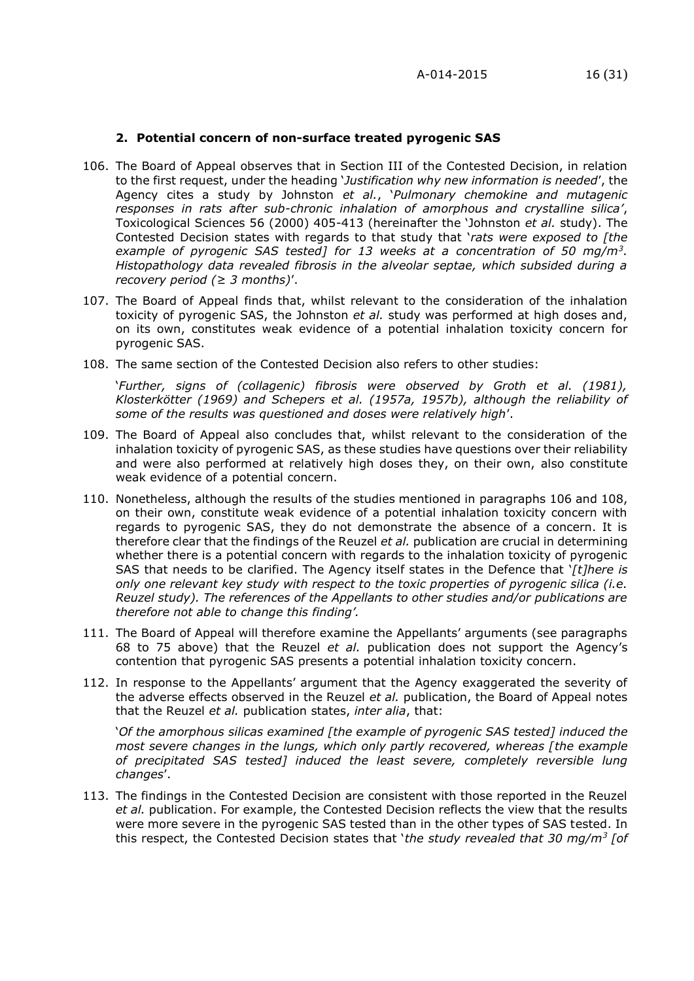#### **2. Potential concern of non-surface treated pyrogenic SAS**

- 106. The Board of Appeal observes that in Section III of the Contested Decision, in relation to the first request, under the heading '*Justification why new information is needed*', the Agency cites a study by Johnston *et al.*, '*Pulmonary chemokine and mutagenic responses in rats after sub-chronic inhalation of amorphous and crystalline silica'*, Toxicological Sciences 56 (2000) 405-413 (hereinafter the 'Johnston *et al.* study). The Contested Decision states with regards to that study that '*rats were exposed to [the example of pyrogenic SAS tested] for 13 weeks at a concentration of 50 mg/m<sup>3</sup> . Histopathology data revealed fibrosis in the alveolar septae, which subsided during a recovery period (≥ 3 months)*'.
- 107. The Board of Appeal finds that, whilst relevant to the consideration of the inhalation toxicity of pyrogenic SAS, the Johnston *et al.* study was performed at high doses and, on its own, constitutes weak evidence of a potential inhalation toxicity concern for pyrogenic SAS.
- 108. The same section of the Contested Decision also refers to other studies:

'*Further, signs of (collagenic) fibrosis were observed by Groth et al. (1981), Klosterkötter (1969) and Schepers et al. (1957a, 1957b), although the reliability of some of the results was questioned and doses were relatively high*'.

- 109. The Board of Appeal also concludes that, whilst relevant to the consideration of the inhalation toxicity of pyrogenic SAS, as these studies have questions over their reliability and were also performed at relatively high doses they, on their own, also constitute weak evidence of a potential concern.
- 110. Nonetheless, although the results of the studies mentioned in paragraphs 106 and 108, on their own, constitute weak evidence of a potential inhalation toxicity concern with regards to pyrogenic SAS, they do not demonstrate the absence of a concern. It is therefore clear that the findings of the Reuzel *et al.* publication are crucial in determining whether there is a potential concern with regards to the inhalation toxicity of pyrogenic SAS that needs to be clarified. The Agency itself states in the Defence that '*[t]here is only one relevant key study with respect to the toxic properties of pyrogenic silica (i.e. Reuzel study). The references of the Appellants to other studies and/or publications are therefore not able to change this finding'.*
- 111. The Board of Appeal will therefore examine the Appellants' arguments (see paragraphs 68 to 75 above) that the Reuzel *et al.* publication does not support the Agency's contention that pyrogenic SAS presents a potential inhalation toxicity concern.
- 112. In response to the Appellants' argument that the Agency exaggerated the severity of the adverse effects observed in the Reuzel *et al.* publication, the Board of Appeal notes that the Reuzel *et al.* publication states, *inter alia*, that:

'*Of the amorphous silicas examined [the example of pyrogenic SAS tested] induced the most severe changes in the lungs, which only partly recovered, whereas [the example of precipitated SAS tested] induced the least severe, completely reversible lung changes*'.

113. The findings in the Contested Decision are consistent with those reported in the Reuzel *et al.* publication. For example, the Contested Decision reflects the view that the results were more severe in the pyrogenic SAS tested than in the other types of SAS tested. In this respect, the Contested Decision states that '*the study revealed that 30 mg/m<sup>3</sup> [of*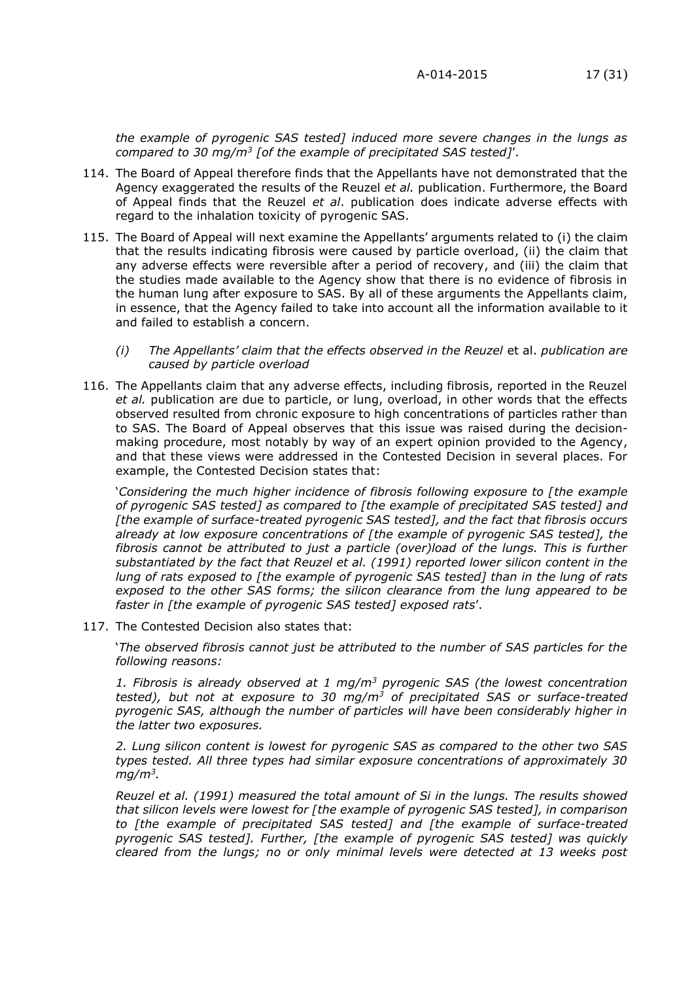*the example of pyrogenic SAS tested] induced more severe changes in the lungs as compared to 30 mg/m<sup>3</sup> [of the example of precipitated SAS tested]*'.

- 114. The Board of Appeal therefore finds that the Appellants have not demonstrated that the Agency exaggerated the results of the Reuzel *et al.* publication. Furthermore, the Board of Appeal finds that the Reuzel *et al*. publication does indicate adverse effects with regard to the inhalation toxicity of pyrogenic SAS.
- 115. The Board of Appeal will next examine the Appellants' arguments related to (i) the claim that the results indicating fibrosis were caused by particle overload, (ii) the claim that any adverse effects were reversible after a period of recovery, and (iii) the claim that the studies made available to the Agency show that there is no evidence of fibrosis in the human lung after exposure to SAS. By all of these arguments the Appellants claim, in essence, that the Agency failed to take into account all the information available to it and failed to establish a concern.
	- *(i) The Appellants' claim that the effects observed in the Reuzel* et al. *publication are caused by particle overload*
- 116. The Appellants claim that any adverse effects, including fibrosis, reported in the Reuzel *et al.* publication are due to particle, or lung, overload, in other words that the effects observed resulted from chronic exposure to high concentrations of particles rather than to SAS. The Board of Appeal observes that this issue was raised during the decisionmaking procedure, most notably by way of an expert opinion provided to the Agency, and that these views were addressed in the Contested Decision in several places. For example, the Contested Decision states that:

'*Considering the much higher incidence of fibrosis following exposure to [the example of pyrogenic SAS tested] as compared to [the example of precipitated SAS tested] and [the example of surface-treated pyrogenic SAS tested], and the fact that fibrosis occurs already at low exposure concentrations of [the example of pyrogenic SAS tested], the fibrosis cannot be attributed to just a particle (over)load of the lungs. This is further substantiated by the fact that Reuzel et al. (1991) reported lower silicon content in the lung of rats exposed to [the example of pyrogenic SAS tested] than in the lung of rats exposed to the other SAS forms; the silicon clearance from the lung appeared to be faster in [the example of pyrogenic SAS tested] exposed rats*'.

117. The Contested Decision also states that:

'*The observed fibrosis cannot just be attributed to the number of SAS particles for the following reasons:*

*1. Fibrosis is already observed at 1 mg/m<sup>3</sup> pyrogenic SAS (the lowest concentration tested), but not at exposure to 30 mg/m<sup>3</sup> of precipitated SAS or surface-treated pyrogenic SAS, although the number of particles will have been considerably higher in the latter two exposures.*

*2. Lung silicon content is lowest for pyrogenic SAS as compared to the other two SAS types tested. All three types had similar exposure concentrations of approximately 30 mg/m<sup>3</sup> .*

*Reuzel et al. (1991) measured the total amount of Si in the lungs. The results showed that silicon levels were lowest for [the example of pyrogenic SAS tested], in comparison to [the example of precipitated SAS tested] and [the example of surface-treated pyrogenic SAS tested]. Further, [the example of pyrogenic SAS tested] was quickly cleared from the lungs; no or only minimal levels were detected at 13 weeks post*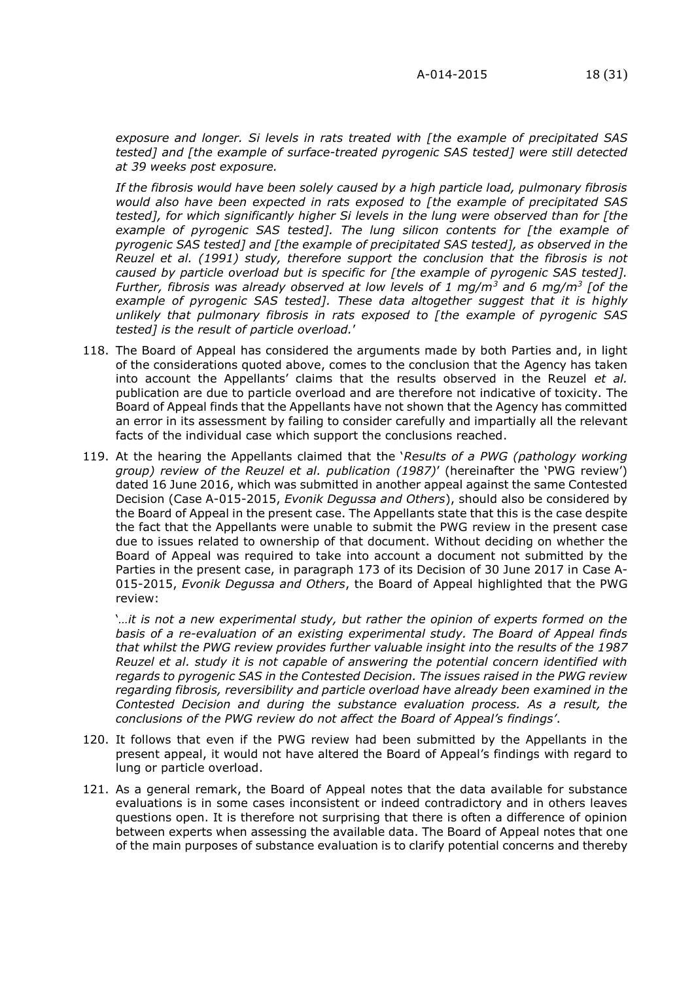*exposure and longer. Si levels in rats treated with [the example of precipitated SAS tested] and [the example of surface-treated pyrogenic SAS tested] were still detected at 39 weeks post exposure.*

*If the fibrosis would have been solely caused by a high particle load, pulmonary fibrosis would also have been expected in rats exposed to [the example of precipitated SAS tested], for which significantly higher Si levels in the lung were observed than for [the example of pyrogenic SAS tested]. The lung silicon contents for [the example of pyrogenic SAS tested] and [the example of precipitated SAS tested], as observed in the Reuzel et al. (1991) study, therefore support the conclusion that the fibrosis is not caused by particle overload but is specific for [the example of pyrogenic SAS tested]. Further, fibrosis was already observed at low levels of 1 mg/m<sup>3</sup> and 6 mg/m<sup>3</sup> [of the example of pyrogenic SAS tested]. These data altogether suggest that it is highly unlikely that pulmonary fibrosis in rats exposed to [the example of pyrogenic SAS tested] is the result of particle overload.*'

- 118. The Board of Appeal has considered the arguments made by both Parties and, in light of the considerations quoted above, comes to the conclusion that the Agency has taken into account the Appellants' claims that the results observed in the Reuzel *et al.* publication are due to particle overload and are therefore not indicative of toxicity. The Board of Appeal finds that the Appellants have not shown that the Agency has committed an error in its assessment by failing to consider carefully and impartially all the relevant facts of the individual case which support the conclusions reached.
- 119. At the hearing the Appellants claimed that the '*Results of a PWG (pathology working group) review of the Reuzel et al. publication (1987)*' (hereinafter the 'PWG review') dated 16 June 2016, which was submitted in another appeal against the same Contested Decision (Case A-015-2015, *Evonik Degussa and Others*), should also be considered by the Board of Appeal in the present case. The Appellants state that this is the case despite the fact that the Appellants were unable to submit the PWG review in the present case due to issues related to ownership of that document. Without deciding on whether the Board of Appeal was required to take into account a document not submitted by the Parties in the present case, in paragraph 173 of its Decision of 30 June 2017 in Case A-015-2015, *Evonik Degussa and Others*, the Board of Appeal highlighted that the PWG review:

'*…it is not a new experimental study, but rather the opinion of experts formed on the basis of a re-evaluation of an existing experimental study. The Board of Appeal finds that whilst the PWG review provides further valuable insight into the results of the 1987 Reuzel et al. study it is not capable of answering the potential concern identified with regards to pyrogenic SAS in the Contested Decision. The issues raised in the PWG review regarding fibrosis, reversibility and particle overload have already been examined in the Contested Decision and during the substance evaluation process. As a result, the conclusions of the PWG review do not affect the Board of Appeal's findings'*.

- 120. It follows that even if the PWG review had been submitted by the Appellants in the present appeal, it would not have altered the Board of Appeal's findings with regard to lung or particle overload.
- 121. As a general remark, the Board of Appeal notes that the data available for substance evaluations is in some cases inconsistent or indeed contradictory and in others leaves questions open. It is therefore not surprising that there is often a difference of opinion between experts when assessing the available data. The Board of Appeal notes that one of the main purposes of substance evaluation is to clarify potential concerns and thereby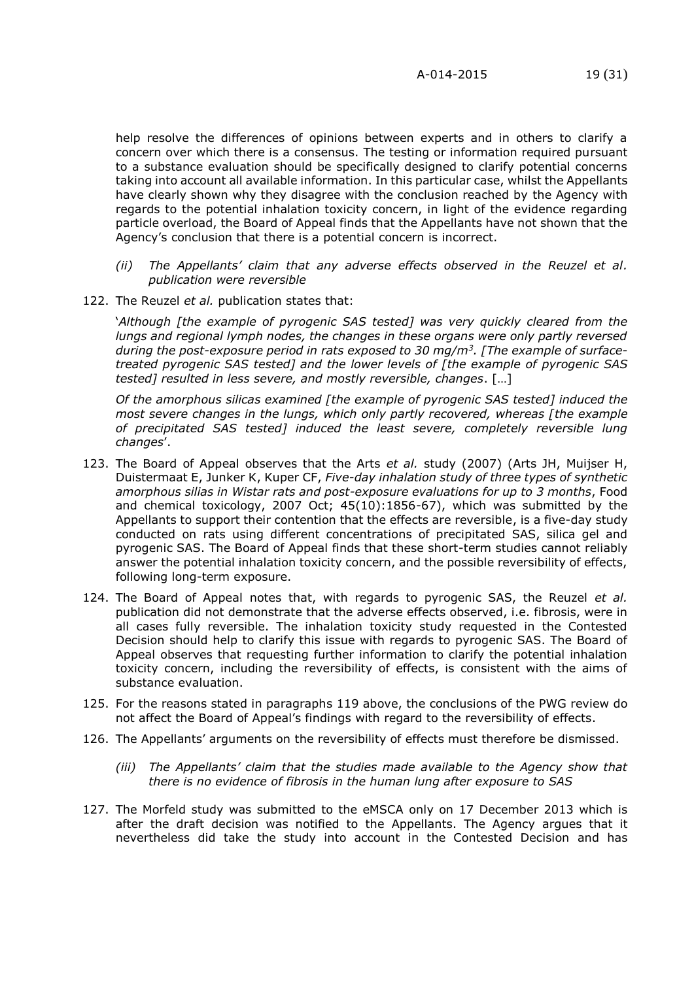help resolve the differences of opinions between experts and in others to clarify a concern over which there is a consensus. The testing or information required pursuant to a substance evaluation should be specifically designed to clarify potential concerns taking into account all available information. In this particular case, whilst the Appellants have clearly shown why they disagree with the conclusion reached by the Agency with regards to the potential inhalation toxicity concern, in light of the evidence regarding particle overload, the Board of Appeal finds that the Appellants have not shown that the Agency's conclusion that there is a potential concern is incorrect.

- *(ii) The Appellants' claim that any adverse effects observed in the Reuzel et al. publication were reversible*
- 122. The Reuzel *et al.* publication states that:

'*Although [the example of pyrogenic SAS tested] was very quickly cleared from the lungs and regional lymph nodes, the changes in these organs were only partly reversed during the post-exposure period in rats exposed to 30 mg/m<sup>3</sup> . [The example of surfacetreated pyrogenic SAS tested] and the lower levels of [the example of pyrogenic SAS tested] resulted in less severe, and mostly reversible, changes*. […]

*Of the amorphous silicas examined [the example of pyrogenic SAS tested] induced the most severe changes in the lungs, which only partly recovered, whereas [the example of precipitated SAS tested] induced the least severe, completely reversible lung changes*'.

- 123. The Board of Appeal observes that the Arts *et al.* study (2007) (Arts JH, Muijser H, Duistermaat E, Junker K, Kuper CF, *Five-day inhalation study of three types of synthetic amorphous silias in Wistar rats and post-exposure evaluations for up to 3 months*, Food and chemical toxicology, 2007 Oct; 45(10):1856-67), which was submitted by the Appellants to support their contention that the effects are reversible, is a five-day study conducted on rats using different concentrations of precipitated SAS, silica gel and pyrogenic SAS. The Board of Appeal finds that these short-term studies cannot reliably answer the potential inhalation toxicity concern, and the possible reversibility of effects, following long-term exposure.
- 124. The Board of Appeal notes that, with regards to pyrogenic SAS, the Reuzel *et al.* publication did not demonstrate that the adverse effects observed, i.e. fibrosis, were in all cases fully reversible. The inhalation toxicity study requested in the Contested Decision should help to clarify this issue with regards to pyrogenic SAS. The Board of Appeal observes that requesting further information to clarify the potential inhalation toxicity concern, including the reversibility of effects, is consistent with the aims of substance evaluation.
- 125. For the reasons stated in paragraphs 119 above, the conclusions of the PWG review do not affect the Board of Appeal's findings with regard to the reversibility of effects.
- 126. The Appellants' arguments on the reversibility of effects must therefore be dismissed.
	- *(iii) The Appellants' claim that the studies made available to the Agency show that there is no evidence of fibrosis in the human lung after exposure to SAS*
- 127. The Morfeld study was submitted to the eMSCA only on 17 December 2013 which is after the draft decision was notified to the Appellants. The Agency argues that it nevertheless did take the study into account in the Contested Decision and has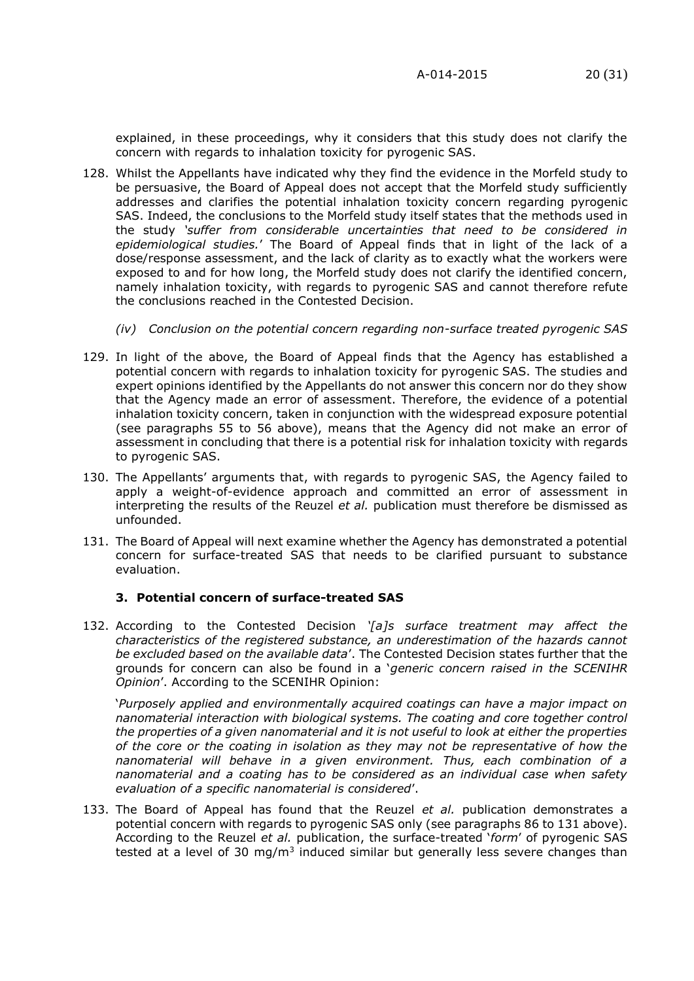explained, in these proceedings, why it considers that this study does not clarify the concern with regards to inhalation toxicity for pyrogenic SAS.

- 128. Whilst the Appellants have indicated why they find the evidence in the Morfeld study to be persuasive, the Board of Appeal does not accept that the Morfeld study sufficiently addresses and clarifies the potential inhalation toxicity concern regarding pyrogenic SAS. Indeed, the conclusions to the Morfeld study itself states that the methods used in the study *'suffer from considerable uncertainties that need to be considered in epidemiological studies.*' The Board of Appeal finds that in light of the lack of a dose/response assessment, and the lack of clarity as to exactly what the workers were exposed to and for how long, the Morfeld study does not clarify the identified concern, namely inhalation toxicity, with regards to pyrogenic SAS and cannot therefore refute the conclusions reached in the Contested Decision.
	- *(iv) Conclusion on the potential concern regarding non-surface treated pyrogenic SAS*
- 129. In light of the above, the Board of Appeal finds that the Agency has established a potential concern with regards to inhalation toxicity for pyrogenic SAS. The studies and expert opinions identified by the Appellants do not answer this concern nor do they show that the Agency made an error of assessment. Therefore, the evidence of a potential inhalation toxicity concern, taken in conjunction with the widespread exposure potential (see paragraphs 55 to 56 above), means that the Agency did not make an error of assessment in concluding that there is a potential risk for inhalation toxicity with regards to pyrogenic SAS.
- 130. The Appellants' arguments that, with regards to pyrogenic SAS, the Agency failed to apply a weight-of-evidence approach and committed an error of assessment in interpreting the results of the Reuzel *et al.* publication must therefore be dismissed as unfounded.
- 131. The Board of Appeal will next examine whether the Agency has demonstrated a potential concern for surface-treated SAS that needs to be clarified pursuant to substance evaluation.

## **3. Potential concern of surface-treated SAS**

132. According to the Contested Decision *'[a]s surface treatment may affect the characteristics of the registered substance, an underestimation of the hazards cannot be excluded based on the available data*'. The Contested Decision states further that the grounds for concern can also be found in a '*generic concern raised in the SCENIHR Opinion*'. According to the SCENIHR Opinion:

'*Purposely applied and environmentally acquired coatings can have a major impact on nanomaterial interaction with biological systems. The coating and core together control the properties of a given nanomaterial and it is not useful to look at either the properties of the core or the coating in isolation as they may not be representative of how the nanomaterial will behave in a given environment. Thus, each combination of a nanomaterial and a coating has to be considered as an individual case when safety evaluation of a specific nanomaterial is considered*'.

133. The Board of Appeal has found that the Reuzel *et al.* publication demonstrates a potential concern with regards to pyrogenic SAS only (see paragraphs 86 to 131 above). According to the Reuzel *et al.* publication, the surface-treated '*form*' of pyrogenic SAS tested at a level of 30 mg/m<sup>3</sup> induced similar but generally less severe changes than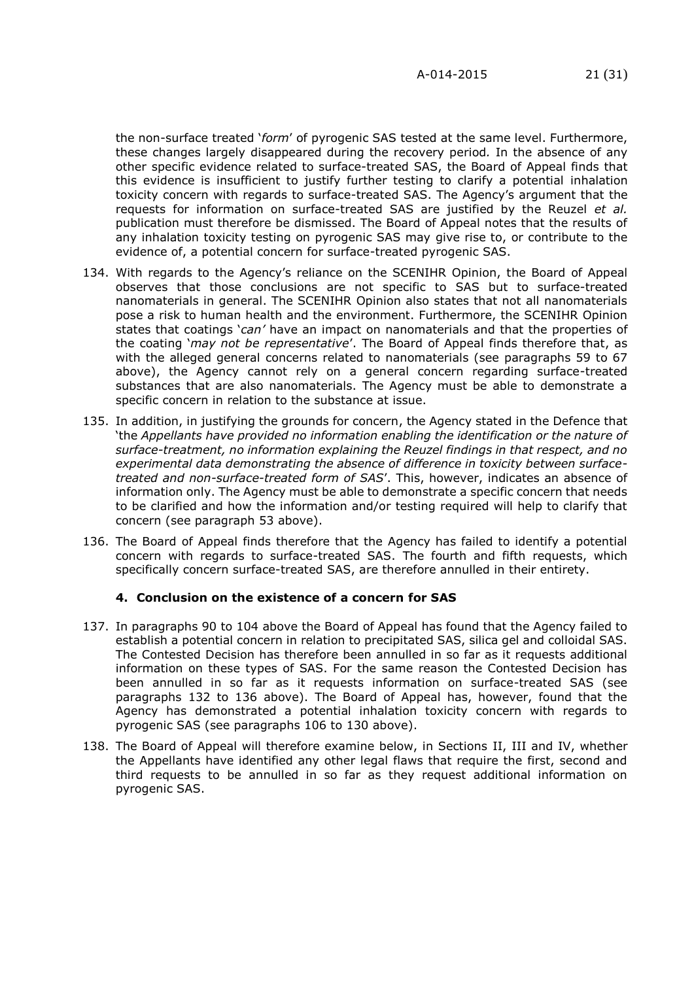the non-surface treated '*form*' of pyrogenic SAS tested at the same level. Furthermore, these changes largely disappeared during the recovery period*.* In the absence of any other specific evidence related to surface-treated SAS, the Board of Appeal finds that this evidence is insufficient to justify further testing to clarify a potential inhalation toxicity concern with regards to surface-treated SAS. The Agency's argument that the requests for information on surface-treated SAS are justified by the Reuzel *et al.* publication must therefore be dismissed. The Board of Appeal notes that the results of any inhalation toxicity testing on pyrogenic SAS may give rise to, or contribute to the evidence of, a potential concern for surface-treated pyrogenic SAS.

- 134. With regards to the Agency's reliance on the SCENIHR Opinion, the Board of Appeal observes that those conclusions are not specific to SAS but to surface-treated nanomaterials in general. The SCENIHR Opinion also states that not all nanomaterials pose a risk to human health and the environment. Furthermore, the SCENIHR Opinion states that coatings '*can'* have an impact on nanomaterials and that the properties of the coating '*may not be representative*'. The Board of Appeal finds therefore that, as with the alleged general concerns related to nanomaterials (see paragraphs 59 to 67 above), the Agency cannot rely on a general concern regarding surface-treated substances that are also nanomaterials. The Agency must be able to demonstrate a specific concern in relation to the substance at issue.
- 135. In addition, in justifying the grounds for concern, the Agency stated in the Defence that 'the *Appellants have provided no information enabling the identification or the nature of surface-treatment, no information explaining the Reuzel findings in that respect, and no experimental data demonstrating the absence of difference in toxicity between surfacetreated and non-surface-treated form of SAS*'. This, however, indicates an absence of information only. The Agency must be able to demonstrate a specific concern that needs to be clarified and how the information and/or testing required will help to clarify that concern (see paragraph 53 above).
- 136. The Board of Appeal finds therefore that the Agency has failed to identify a potential concern with regards to surface-treated SAS. The fourth and fifth requests, which specifically concern surface-treated SAS, are therefore annulled in their entirety.

## **4. Conclusion on the existence of a concern for SAS**

- 137. In paragraphs 90 to 104 above the Board of Appeal has found that the Agency failed to establish a potential concern in relation to precipitated SAS, silica gel and colloidal SAS. The Contested Decision has therefore been annulled in so far as it requests additional information on these types of SAS. For the same reason the Contested Decision has been annulled in so far as it requests information on surface-treated SAS (see paragraphs 132 to 136 above). The Board of Appeal has, however, found that the Agency has demonstrated a potential inhalation toxicity concern with regards to pyrogenic SAS (see paragraphs 106 to 130 above).
- 138. The Board of Appeal will therefore examine below, in Sections II, III and IV, whether the Appellants have identified any other legal flaws that require the first, second and third requests to be annulled in so far as they request additional information on pyrogenic SAS.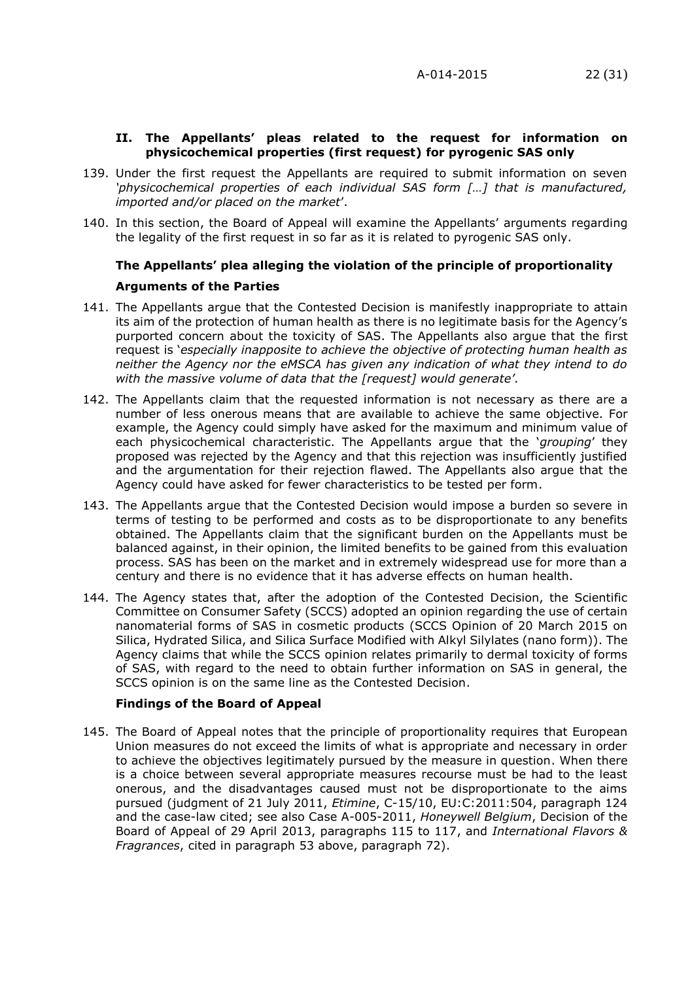#### **II. The Appellants' pleas related to the request for information on physicochemical properties (first request) for pyrogenic SAS only**

- 139. Under the first request the Appellants are required to submit information on seven *'physicochemical properties of each individual SAS form […] that is manufactured, imported and/or placed on the market*'.
- 140. In this section, the Board of Appeal will examine the Appellants' arguments regarding the legality of the first request in so far as it is related to pyrogenic SAS only.

# **The Appellants' plea alleging the violation of the principle of proportionality**

# **Arguments of the Parties**

- 141. The Appellants argue that the Contested Decision is manifestly inappropriate to attain its aim of the protection of human health as there is no legitimate basis for the Agency's purported concern about the toxicity of SAS. The Appellants also argue that the first request is '*especially inapposite to achieve the objective of protecting human health as neither the Agency nor the eMSCA has given any indication of what they intend to do with the massive volume of data that the [request] would generate'*.
- 142. The Appellants claim that the requested information is not necessary as there are a number of less onerous means that are available to achieve the same objective. For example, the Agency could simply have asked for the maximum and minimum value of each physicochemical characteristic. The Appellants argue that the '*grouping*' they proposed was rejected by the Agency and that this rejection was insufficiently justified and the argumentation for their rejection flawed. The Appellants also argue that the Agency could have asked for fewer characteristics to be tested per form.
- 143. The Appellants argue that the Contested Decision would impose a burden so severe in terms of testing to be performed and costs as to be disproportionate to any benefits obtained. The Appellants claim that the significant burden on the Appellants must be balanced against, in their opinion, the limited benefits to be gained from this evaluation process. SAS has been on the market and in extremely widespread use for more than a century and there is no evidence that it has adverse effects on human health.
- 144. The Agency states that, after the adoption of the Contested Decision, the Scientific Committee on Consumer Safety (SCCS) adopted an opinion regarding the use of certain nanomaterial forms of SAS in cosmetic products (SCCS Opinion of 20 March 2015 on Silica, Hydrated Silica, and Silica Surface Modified with Alkyl Silylates (nano form)). The Agency claims that while the SCCS opinion relates primarily to dermal toxicity of forms of SAS, with regard to the need to obtain further information on SAS in general, the SCCS opinion is on the same line as the Contested Decision.

# **Findings of the Board of Appeal**

145. The Board of Appeal notes that the principle of proportionality requires that European Union measures do not exceed the limits of what is appropriate and necessary in order to achieve the objectives legitimately pursued by the measure in question. When there is a choice between several appropriate measures recourse must be had to the least onerous, and the disadvantages caused must not be disproportionate to the aims pursued (judgment of 21 July 2011, *Etimine*, C-15/10, EU:C:2011:504, paragraph 124 and the case-law cited; see also Case A-005-2011, *Honeywell Belgium*, Decision of the Board of Appeal of 29 April 2013, paragraphs 115 to 117, and *International Flavors & Fragrances*, cited in paragraph 53 above, paragraph 72).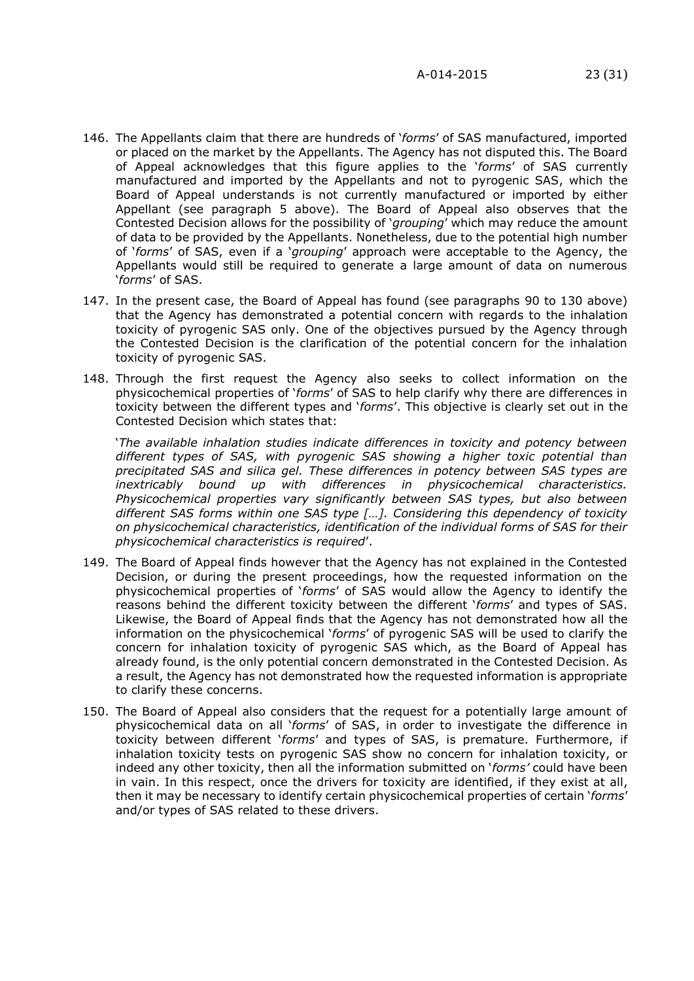- 146. The Appellants claim that there are hundreds of '*forms*' of SAS manufactured, imported or placed on the market by the Appellants. The Agency has not disputed this. The Board of Appeal acknowledges that this figure applies to the '*forms*' of SAS currently manufactured and imported by the Appellants and not to pyrogenic SAS, which the Board of Appeal understands is not currently manufactured or imported by either Appellant (see paragraph 5 above). The Board of Appeal also observes that the Contested Decision allows for the possibility of '*grouping*' which may reduce the amount of data to be provided by the Appellants. Nonetheless, due to the potential high number of '*forms*' of SAS, even if a '*grouping*' approach were acceptable to the Agency, the Appellants would still be required to generate a large amount of data on numerous '*forms*' of SAS.
- 147. In the present case, the Board of Appeal has found (see paragraphs 90 to 130 above) that the Agency has demonstrated a potential concern with regards to the inhalation toxicity of pyrogenic SAS only. One of the objectives pursued by the Agency through the Contested Decision is the clarification of the potential concern for the inhalation toxicity of pyrogenic SAS.
- 148. Through the first request the Agency also seeks to collect information on the physicochemical properties of '*forms*' of SAS to help clarify why there are differences in toxicity between the different types and '*forms*'. This objective is clearly set out in the Contested Decision which states that:

'*The available inhalation studies indicate differences in toxicity and potency between different types of SAS, with pyrogenic SAS showing a higher toxic potential than precipitated SAS and silica gel. These differences in potency between SAS types are inextricably bound up with differences in physicochemical characteristics. Physicochemical properties vary significantly between SAS types, but also between different SAS forms within one SAS type […]. Considering this dependency of toxicity on physicochemical characteristics, identification of the individual forms of SAS for their physicochemical characteristics is required*'.

- 149. The Board of Appeal finds however that the Agency has not explained in the Contested Decision, or during the present proceedings, how the requested information on the physicochemical properties of '*forms*' of SAS would allow the Agency to identify the reasons behind the different toxicity between the different '*forms*' and types of SAS. Likewise, the Board of Appeal finds that the Agency has not demonstrated how all the information on the physicochemical '*forms*' of pyrogenic SAS will be used to clarify the concern for inhalation toxicity of pyrogenic SAS which, as the Board of Appeal has already found, is the only potential concern demonstrated in the Contested Decision. As a result, the Agency has not demonstrated how the requested information is appropriate to clarify these concerns.
- 150. The Board of Appeal also considers that the request for a potentially large amount of physicochemical data on all '*forms*' of SAS, in order to investigate the difference in toxicity between different '*forms*' and types of SAS, is premature. Furthermore, if inhalation toxicity tests on pyrogenic SAS show no concern for inhalation toxicity, or indeed any other toxicity, then all the information submitted on '*forms'* could have been in vain. In this respect, once the drivers for toxicity are identified, if they exist at all, then it may be necessary to identify certain physicochemical properties of certain '*forms*' and/or types of SAS related to these drivers.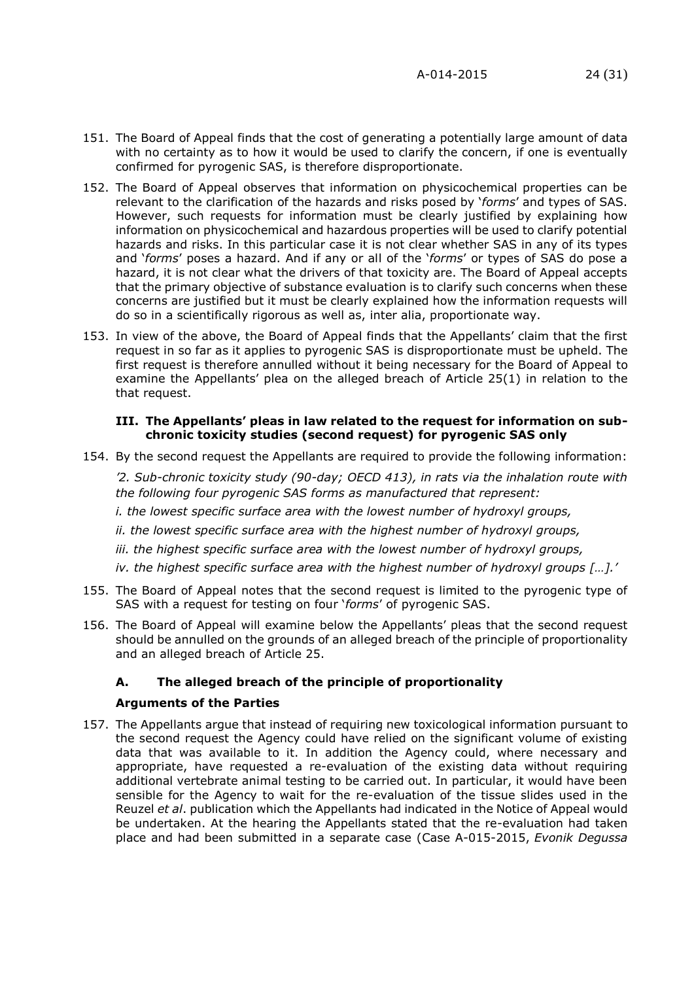- 151. The Board of Appeal finds that the cost of generating a potentially large amount of data with no certainty as to how it would be used to clarify the concern, if one is eventually confirmed for pyrogenic SAS, is therefore disproportionate.
- 152. The Board of Appeal observes that information on physicochemical properties can be relevant to the clarification of the hazards and risks posed by '*forms*' and types of SAS. However, such requests for information must be clearly justified by explaining how information on physicochemical and hazardous properties will be used to clarify potential hazards and risks. In this particular case it is not clear whether SAS in any of its types and '*forms*' poses a hazard. And if any or all of the '*forms*' or types of SAS do pose a hazard, it is not clear what the drivers of that toxicity are. The Board of Appeal accepts that the primary objective of substance evaluation is to clarify such concerns when these concerns are justified but it must be clearly explained how the information requests will do so in a scientifically rigorous as well as, inter alia, proportionate way.
- 153. In view of the above, the Board of Appeal finds that the Appellants' claim that the first request in so far as it applies to pyrogenic SAS is disproportionate must be upheld. The first request is therefore annulled without it being necessary for the Board of Appeal to examine the Appellants' plea on the alleged breach of Article 25(1) in relation to the that request.

#### **III. The Appellants' pleas in law related to the request for information on subchronic toxicity studies (second request) for pyrogenic SAS only**

154. By the second request the Appellants are required to provide the following information:

*'2. Sub-chronic toxicity study (90-day; OECD 413), in rats via the inhalation route with the following four pyrogenic SAS forms as manufactured that represent:*

*i. the lowest specific surface area with the lowest number of hydroxyl groups,*

*ii. the lowest specific surface area with the highest number of hydroxyl groups,*

*iii. the highest specific surface area with the lowest number of hydroxyl groups,*

*iv. the highest specific surface area with the highest number of hydroxyl groups […].'*

- 155. The Board of Appeal notes that the second request is limited to the pyrogenic type of SAS with a request for testing on four '*forms*' of pyrogenic SAS.
- 156. The Board of Appeal will examine below the Appellants' pleas that the second request should be annulled on the grounds of an alleged breach of the principle of proportionality and an alleged breach of Article 25.

# **A. The alleged breach of the principle of proportionality**

## **Arguments of the Parties**

157. The Appellants argue that instead of requiring new toxicological information pursuant to the second request the Agency could have relied on the significant volume of existing data that was available to it. In addition the Agency could, where necessary and appropriate, have requested a re-evaluation of the existing data without requiring additional vertebrate animal testing to be carried out. In particular, it would have been sensible for the Agency to wait for the re-evaluation of the tissue slides used in the Reuzel *et al*. publication which the Appellants had indicated in the Notice of Appeal would be undertaken. At the hearing the Appellants stated that the re-evaluation had taken place and had been submitted in a separate case (Case A-015-2015, *Evonik Degussa*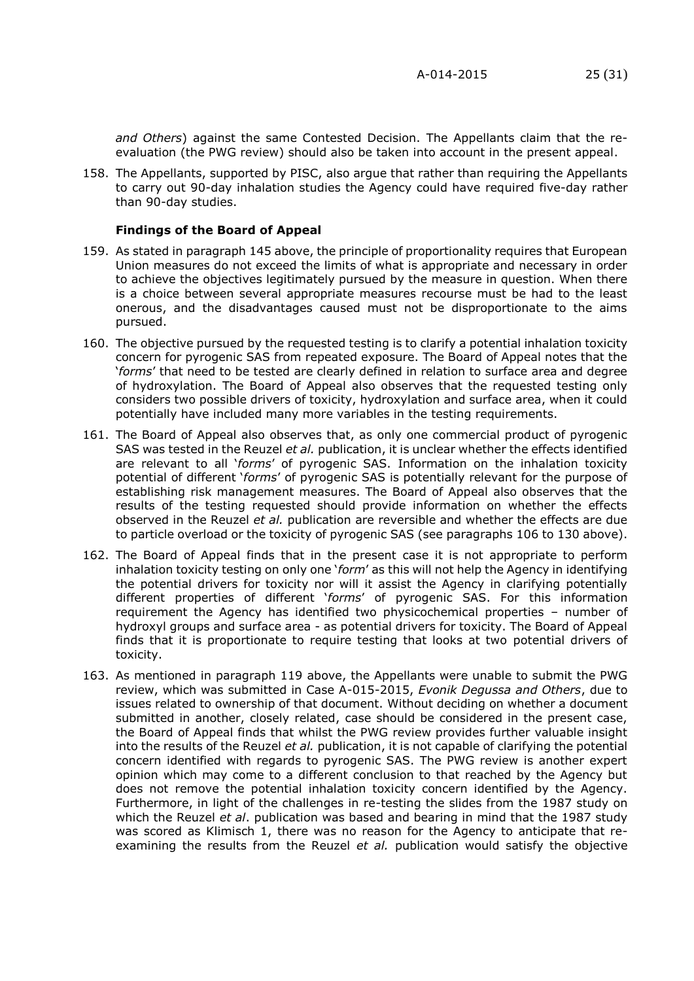*and Others*) against the same Contested Decision. The Appellants claim that the reevaluation (the PWG review) should also be taken into account in the present appeal.

158. The Appellants, supported by PISC, also argue that rather than requiring the Appellants to carry out 90-day inhalation studies the Agency could have required five-day rather than 90-day studies.

# **Findings of the Board of Appeal**

- 159. As stated in paragraph 145 above, the principle of proportionality requires that European Union measures do not exceed the limits of what is appropriate and necessary in order to achieve the objectives legitimately pursued by the measure in question. When there is a choice between several appropriate measures recourse must be had to the least onerous, and the disadvantages caused must not be disproportionate to the aims pursued.
- 160. The objective pursued by the requested testing is to clarify a potential inhalation toxicity concern for pyrogenic SAS from repeated exposure. The Board of Appeal notes that the '*forms*' that need to be tested are clearly defined in relation to surface area and degree of hydroxylation. The Board of Appeal also observes that the requested testing only considers two possible drivers of toxicity, hydroxylation and surface area, when it could potentially have included many more variables in the testing requirements.
- 161. The Board of Appeal also observes that, as only one commercial product of pyrogenic SAS was tested in the Reuzel *et al.* publication, it is unclear whether the effects identified are relevant to all '*forms*' of pyrogenic SAS. Information on the inhalation toxicity potential of different '*forms*' of pyrogenic SAS is potentially relevant for the purpose of establishing risk management measures. The Board of Appeal also observes that the results of the testing requested should provide information on whether the effects observed in the Reuzel *et al.* publication are reversible and whether the effects are due to particle overload or the toxicity of pyrogenic SAS (see paragraphs 106 to 130 above).
- 162. The Board of Appeal finds that in the present case it is not appropriate to perform inhalation toxicity testing on only one '*form*' as this will not help the Agency in identifying the potential drivers for toxicity nor will it assist the Agency in clarifying potentially different properties of different '*forms*' of pyrogenic SAS. For this information requirement the Agency has identified two physicochemical properties – number of hydroxyl groups and surface area - as potential drivers for toxicity. The Board of Appeal finds that it is proportionate to require testing that looks at two potential drivers of toxicity.
- 163. As mentioned in paragraph 119 above, the Appellants were unable to submit the PWG review, which was submitted in Case A-015-2015, *Evonik Degussa and Others*, due to issues related to ownership of that document. Without deciding on whether a document submitted in another, closely related, case should be considered in the present case, the Board of Appeal finds that whilst the PWG review provides further valuable insight into the results of the Reuzel *et al.* publication, it is not capable of clarifying the potential concern identified with regards to pyrogenic SAS. The PWG review is another expert opinion which may come to a different conclusion to that reached by the Agency but does not remove the potential inhalation toxicity concern identified by the Agency. Furthermore, in light of the challenges in re-testing the slides from the 1987 study on which the Reuzel *et al*. publication was based and bearing in mind that the 1987 study was scored as Klimisch 1, there was no reason for the Agency to anticipate that reexamining the results from the Reuzel *et al.* publication would satisfy the objective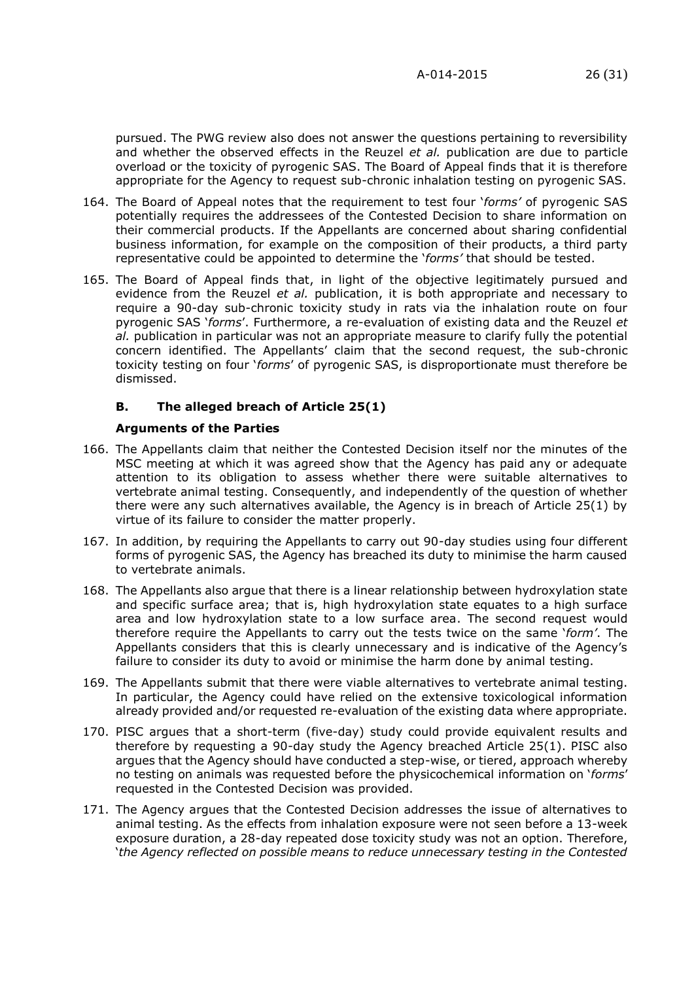pursued. The PWG review also does not answer the questions pertaining to reversibility and whether the observed effects in the Reuzel *et al.* publication are due to particle overload or the toxicity of pyrogenic SAS. The Board of Appeal finds that it is therefore appropriate for the Agency to request sub-chronic inhalation testing on pyrogenic SAS.

- 164. The Board of Appeal notes that the requirement to test four '*forms'* of pyrogenic SAS potentially requires the addressees of the Contested Decision to share information on their commercial products. If the Appellants are concerned about sharing confidential business information, for example on the composition of their products, a third party representative could be appointed to determine the '*forms'* that should be tested.
- 165. The Board of Appeal finds that, in light of the objective legitimately pursued and evidence from the Reuzel *et al.* publication, it is both appropriate and necessary to require a 90-day sub-chronic toxicity study in rats via the inhalation route on four pyrogenic SAS '*forms*'. Furthermore, a re-evaluation of existing data and the Reuzel *et al.* publication in particular was not an appropriate measure to clarify fully the potential concern identified. The Appellants' claim that the second request, the sub-chronic toxicity testing on four '*forms*' of pyrogenic SAS, is disproportionate must therefore be dismissed.

# **B. The alleged breach of Article 25(1)**

#### **Arguments of the Parties**

- 166. The Appellants claim that neither the Contested Decision itself nor the minutes of the MSC meeting at which it was agreed show that the Agency has paid any or adequate attention to its obligation to assess whether there were suitable alternatives to vertebrate animal testing. Consequently, and independently of the question of whether there were any such alternatives available, the Agency is in breach of Article 25(1) by virtue of its failure to consider the matter properly.
- 167. In addition, by requiring the Appellants to carry out 90-day studies using four different forms of pyrogenic SAS, the Agency has breached its duty to minimise the harm caused to vertebrate animals.
- 168. The Appellants also argue that there is a linear relationship between hydroxylation state and specific surface area; that is, high hydroxylation state equates to a high surface area and low hydroxylation state to a low surface area. The second request would therefore require the Appellants to carry out the tests twice on the same '*form'*. The Appellants considers that this is clearly unnecessary and is indicative of the Agency's failure to consider its duty to avoid or minimise the harm done by animal testing.
- 169. The Appellants submit that there were viable alternatives to vertebrate animal testing. In particular, the Agency could have relied on the extensive toxicological information already provided and/or requested re-evaluation of the existing data where appropriate.
- 170. PISC argues that a short-term (five-day) study could provide equivalent results and therefore by requesting a 90-day study the Agency breached Article 25(1). PISC also argues that the Agency should have conducted a step-wise, or tiered, approach whereby no testing on animals was requested before the physicochemical information on '*forms*' requested in the Contested Decision was provided.
- 171. The Agency argues that the Contested Decision addresses the issue of alternatives to animal testing. As the effects from inhalation exposure were not seen before a 13-week exposure duration, a 28-day repeated dose toxicity study was not an option. Therefore, *'the Agency reflected on possible means to reduce unnecessary testing in the Contested*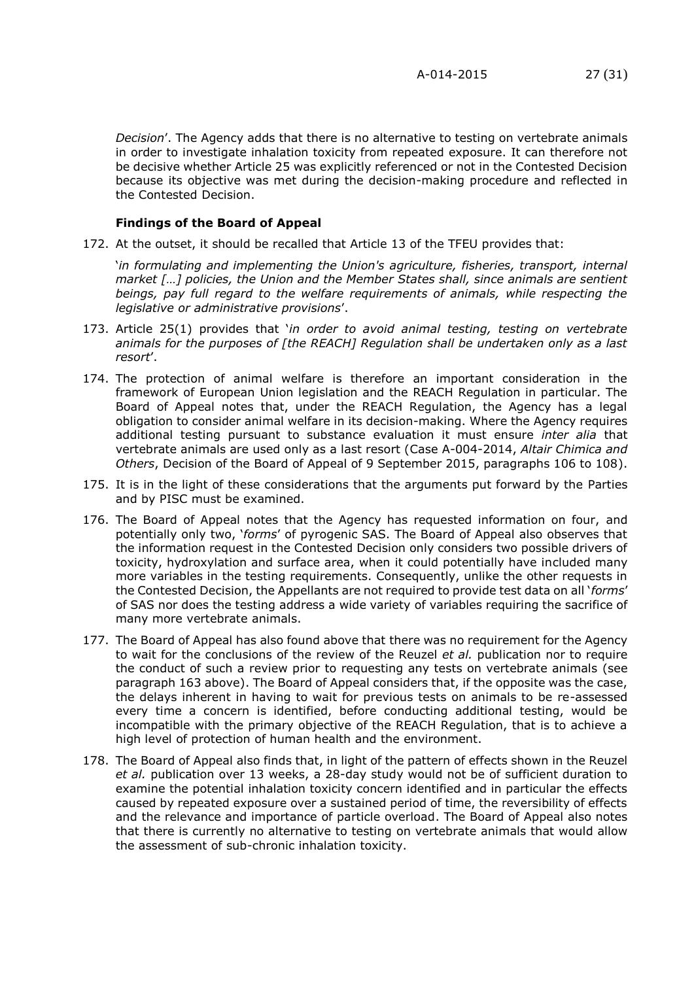*Decision*'. The Agency adds that there is no alternative to testing on vertebrate animals in order to investigate inhalation toxicity from repeated exposure. It can therefore not be decisive whether Article 25 was explicitly referenced or not in the Contested Decision because its objective was met during the decision-making procedure and reflected in the Contested Decision.

#### **Findings of the Board of Appeal**

172. At the outset, it should be recalled that Article 13 of the TFEU provides that:

'*in formulating and implementing the Union's agriculture, fisheries, transport, internal market […] policies, the Union and the Member States shall, since animals are sentient beings, pay full regard to the welfare requirements of animals, while respecting the legislative or administrative provisions*'.

- 173. Article 25(1) provides that '*in order to avoid animal testing, testing on vertebrate animals for the purposes of [the REACH] Regulation shall be undertaken only as a last resort*'.
- 174. The protection of animal welfare is therefore an important consideration in the framework of European Union legislation and the REACH Regulation in particular. The Board of Appeal notes that, under the REACH Regulation, the Agency has a legal obligation to consider animal welfare in its decision-making. Where the Agency requires additional testing pursuant to substance evaluation it must ensure *inter alia* that vertebrate animals are used only as a last resort (Case A-004-2014, *Altair Chimica and Others*, Decision of the Board of Appeal of 9 September 2015, paragraphs 106 to 108).
- 175. It is in the light of these considerations that the arguments put forward by the Parties and by PISC must be examined.
- 176. The Board of Appeal notes that the Agency has requested information on four, and potentially only two, '*forms*' of pyrogenic SAS. The Board of Appeal also observes that the information request in the Contested Decision only considers two possible drivers of toxicity, hydroxylation and surface area, when it could potentially have included many more variables in the testing requirements. Consequently, unlike the other requests in the Contested Decision, the Appellants are not required to provide test data on all '*forms*' of SAS nor does the testing address a wide variety of variables requiring the sacrifice of many more vertebrate animals.
- 177. The Board of Appeal has also found above that there was no requirement for the Agency to wait for the conclusions of the review of the Reuzel *et al.* publication nor to require the conduct of such a review prior to requesting any tests on vertebrate animals (see paragraph 163 above). The Board of Appeal considers that, if the opposite was the case, the delays inherent in having to wait for previous tests on animals to be re-assessed every time a concern is identified, before conducting additional testing, would be incompatible with the primary objective of the REACH Regulation, that is to achieve a high level of protection of human health and the environment.
- 178. The Board of Appeal also finds that, in light of the pattern of effects shown in the Reuzel *et al.* publication over 13 weeks, a 28-day study would not be of sufficient duration to examine the potential inhalation toxicity concern identified and in particular the effects caused by repeated exposure over a sustained period of time, the reversibility of effects and the relevance and importance of particle overload. The Board of Appeal also notes that there is currently no alternative to testing on vertebrate animals that would allow the assessment of sub-chronic inhalation toxicity.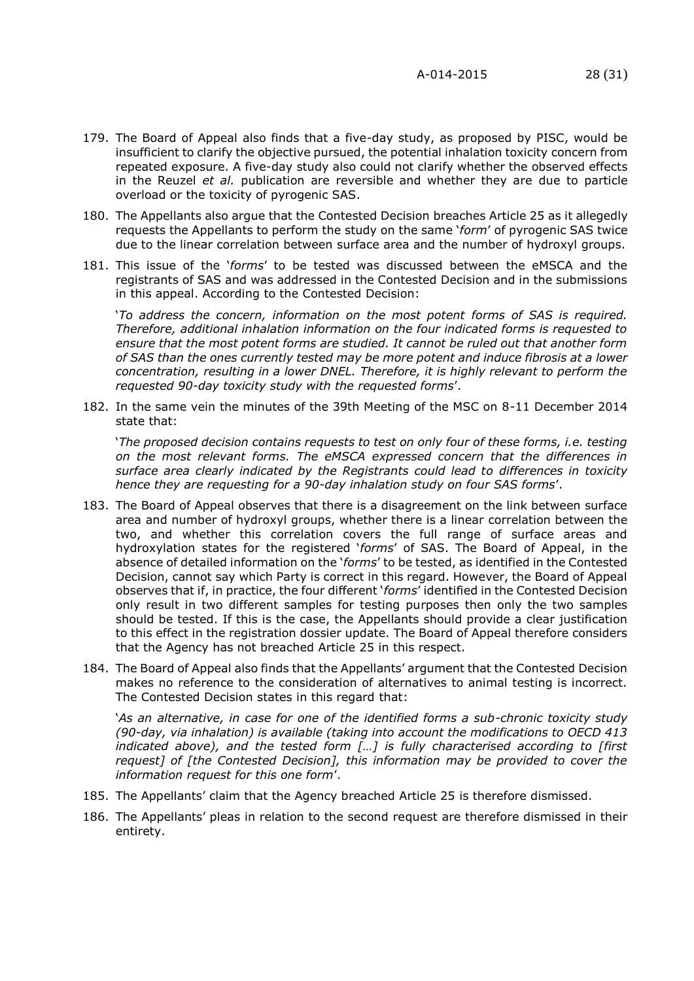in the Reuzel *et al.* publication are reversible and whether they are due to particle overload or the toxicity of pyrogenic SAS. 180. The Appellants also argue that the Contested Decision breaches Article 25 as it allegedly requests the Appellants to perform the study on the same '*form*' of pyrogenic SAS twice

due to the linear correlation between surface area and the number of hydroxyl groups.

181. This issue of the '*forms*' to be tested was discussed between the eMSCA and the registrants of SAS and was addressed in the Contested Decision and in the submissions in this appeal. According to the Contested Decision:

'*To address the concern, information on the most potent forms of SAS is required. Therefore, additional inhalation information on the four indicated forms is requested to ensure that the most potent forms are studied. It cannot be ruled out that another form of SAS than the ones currently tested may be more potent and induce fibrosis at a lower concentration, resulting in a lower DNEL. Therefore, it is highly relevant to perform the requested 90-day toxicity study with the requested forms*'.

182. In the same vein the minutes of the 39th Meeting of the MSC on 8-11 December 2014 state that:

'*The proposed decision contains requests to test on only four of these forms, i.e. testing on the most relevant forms. The eMSCA expressed concern that the differences in surface area clearly indicated by the Registrants could lead to differences in toxicity hence they are requesting for a 90-day inhalation study on four SAS forms*'.

- 183. The Board of Appeal observes that there is a disagreement on the link between surface area and number of hydroxyl groups, whether there is a linear correlation between the two, and whether this correlation covers the full range of surface areas and hydroxylation states for the registered '*forms*' of SAS. The Board of Appeal, in the absence of detailed information on the '*forms*' to be tested, as identified in the Contested Decision, cannot say which Party is correct in this regard. However, the Board of Appeal observes that if, in practice, the four different '*forms*' identified in the Contested Decision only result in two different samples for testing purposes then only the two samples should be tested. If this is the case, the Appellants should provide a clear justification to this effect in the registration dossier update. The Board of Appeal therefore considers that the Agency has not breached Article 25 in this respect.
- 184. The Board of Appeal also finds that the Appellants' argument that the Contested Decision makes no reference to the consideration of alternatives to animal testing is incorrect. The Contested Decision states in this regard that:

'*As an alternative, in case for one of the identified forms a sub-chronic toxicity study (90-day, via inhalation) is available (taking into account the modifications to OECD 413 indicated above), and the tested form […] is fully characterised according to [first request] of [the Contested Decision], this information may be provided to cover the information request for this one form*'.

- 185. The Appellants' claim that the Agency breached Article 25 is therefore dismissed.
- 186. The Appellants' pleas in relation to the second request are therefore dismissed in their entirety.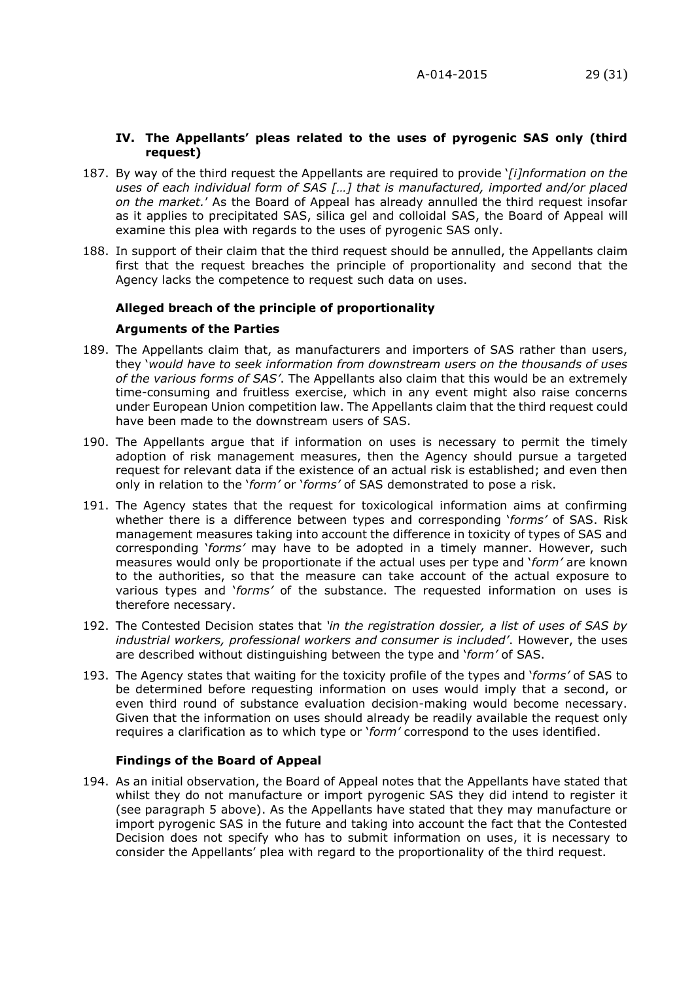## **IV. The Appellants' pleas related to the uses of pyrogenic SAS only (third request)**

- 187. By way of the third request the Appellants are required to provide '*[i]nformation on the uses of each individual form of SAS […] that is manufactured, imported and/or placed on the market.*' As the Board of Appeal has already annulled the third request insofar as it applies to precipitated SAS, silica gel and colloidal SAS, the Board of Appeal will examine this plea with regards to the uses of pyrogenic SAS only.
- 188. In support of their claim that the third request should be annulled, the Appellants claim first that the request breaches the principle of proportionality and second that the Agency lacks the competence to request such data on uses.

## **Alleged breach of the principle of proportionality**

## **Arguments of the Parties**

- 189. The Appellants claim that, as manufacturers and importers of SAS rather than users, they '*would have to seek information from downstream users on the thousands of uses of the various forms of SAS'*. The Appellants also claim that this would be an extremely time-consuming and fruitless exercise, which in any event might also raise concerns under European Union competition law. The Appellants claim that the third request could have been made to the downstream users of SAS.
- 190. The Appellants argue that if information on uses is necessary to permit the timely adoption of risk management measures, then the Agency should pursue a targeted request for relevant data if the existence of an actual risk is established; and even then only in relation to the '*form'* or '*forms'* of SAS demonstrated to pose a risk.
- 191. The Agency states that the request for toxicological information aims at confirming whether there is a difference between types and corresponding '*forms'* of SAS. Risk management measures taking into account the difference in toxicity of types of SAS and corresponding '*forms'* may have to be adopted in a timely manner. However, such measures would only be proportionate if the actual uses per type and '*form'* are known to the authorities, so that the measure can take account of the actual exposure to various types and '*forms'* of the substance. The requested information on uses is therefore necessary.
- 192. The Contested Decision states that *'in the registration dossier, a list of uses of SAS by industrial workers, professional workers and consumer is included'*. However, the uses are described without distinguishing between the type and '*form'* of SAS.
- 193. The Agency states that waiting for the toxicity profile of the types and '*forms'* of SAS to be determined before requesting information on uses would imply that a second, or even third round of substance evaluation decision-making would become necessary. Given that the information on uses should already be readily available the request only requires a clarification as to which type or '*form'* correspond to the uses identified.

# **Findings of the Board of Appeal**

194. As an initial observation, the Board of Appeal notes that the Appellants have stated that whilst they do not manufacture or import pyrogenic SAS they did intend to register it (see paragraph 5 above). As the Appellants have stated that they may manufacture or import pyrogenic SAS in the future and taking into account the fact that the Contested Decision does not specify who has to submit information on uses, it is necessary to consider the Appellants' plea with regard to the proportionality of the third request.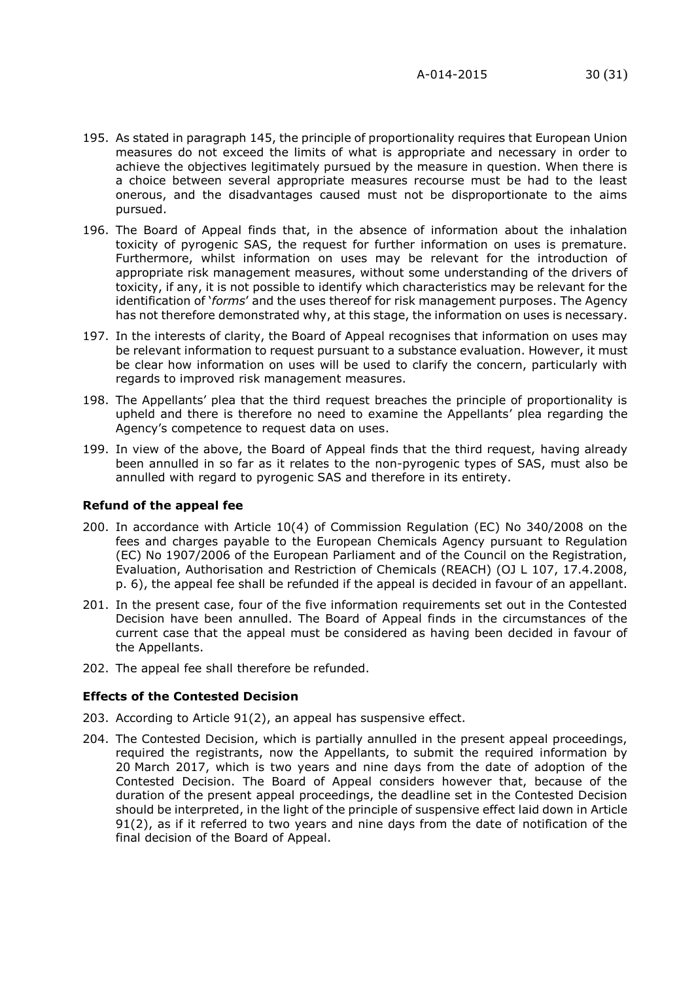- 195. As stated in paragraph 145, the principle of proportionality requires that European Union measures do not exceed the limits of what is appropriate and necessary in order to achieve the objectives legitimately pursued by the measure in question. When there is a choice between several appropriate measures recourse must be had to the least onerous, and the disadvantages caused must not be disproportionate to the aims pursued.
- 196. The Board of Appeal finds that, in the absence of information about the inhalation toxicity of pyrogenic SAS, the request for further information on uses is premature. Furthermore, whilst information on uses may be relevant for the introduction of appropriate risk management measures, without some understanding of the drivers of toxicity, if any, it is not possible to identify which characteristics may be relevant for the identification of '*forms*' and the uses thereof for risk management purposes. The Agency has not therefore demonstrated why, at this stage, the information on uses is necessary.
- 197. In the interests of clarity, the Board of Appeal recognises that information on uses may be relevant information to request pursuant to a substance evaluation. However, it must be clear how information on uses will be used to clarify the concern, particularly with regards to improved risk management measures.
- 198. The Appellants' plea that the third request breaches the principle of proportionality is upheld and there is therefore no need to examine the Appellants' plea regarding the Agency's competence to request data on uses.
- 199. In view of the above, the Board of Appeal finds that the third request, having already been annulled in so far as it relates to the non-pyrogenic types of SAS, must also be annulled with regard to pyrogenic SAS and therefore in its entirety.

#### **Refund of the appeal fee**

- 200. In accordance with Article 10(4) of Commission Regulation (EC) No 340/2008 on the fees and charges payable to the European Chemicals Agency pursuant to Regulation (EC) No 1907/2006 of the European Parliament and of the Council on the Registration, Evaluation, Authorisation and Restriction of Chemicals (REACH) (OJ L 107, 17.4.2008, p. 6), the appeal fee shall be refunded if the appeal is decided in favour of an appellant.
- 201. In the present case, four of the five information requirements set out in the Contested Decision have been annulled. The Board of Appeal finds in the circumstances of the current case that the appeal must be considered as having been decided in favour of the Appellants.
- 202. The appeal fee shall therefore be refunded.

## **Effects of the Contested Decision**

- 203. According to Article 91(2), an appeal has suspensive effect.
- 204. The Contested Decision, which is partially annulled in the present appeal proceedings, required the registrants, now the Appellants, to submit the required information by 20 March 2017, which is two years and nine days from the date of adoption of the Contested Decision. The Board of Appeal considers however that, because of the duration of the present appeal proceedings, the deadline set in the Contested Decision should be interpreted, in the light of the principle of suspensive effect laid down in Article 91(2), as if it referred to two years and nine days from the date of notification of the final decision of the Board of Appeal.